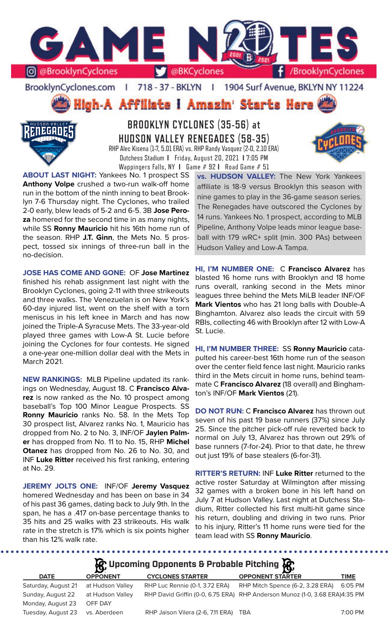

BrooklynCyclones.com | 718 - 37 - BKLYN | 1904 Surf Avenue, BKLYN NY 11224

High-A Affiliate I Amazin' Starts Here



**BROOKLYN CYCLONES (35-56) at HUDSON VALLEY RENEGADES (58-35)** RHP Alec Kisena (1-7, 5.01 ERA) vs. RHP Randy Vasquez (2-0, 2.10 ERA) Dutchess Stadium **I** Friday, August 20, 2021 **I** 7:05 PM Wappingers Falls, NY **I** Game # 92 **I** Road Game # 51



**ABOUT LAST NIGHT:** Yankees No. 1 prospect SS **Anthony Volpe** crushed a two-run walk-off home run in the bottom of the ninth inning to beat Brooklyn 7-6 Thursday night. The Cyclones, who trailed 2-0 early, blew leads of 5-2 and 6-5. 3B **Jose Peroza** homered for the second time in as many nights, while SS **Ronny Mauricio** hit his 16th home run of the season. RHP **J.T. Ginn**, the Mets No. 5 prospect, tossed six innings of three-run ball in the no-decision.

**JOSE HAS COME AND GONE:** OF **Jose Martinez**  finished his rehab assignment last night with the Brooklyn Cyclones, going 2-11 with three strikeouts and three walks. The Venezuelan is on New York's 60-day injured list, went on the shelf with a torn meniscus in his left knee in March and has now joined the Triple-A Syracuse Mets. The 33-year-old played three games with Low-A St. Lucie before joining the Cyclones for four contests. He signed a one-year one-million dollar deal with the Mets in March 2021.

**NEW RANKINGS:** MLB Pipeline updated its rankings on Wednesday, August 18. C **Francisco Alvarez** is now ranked as the No. 10 prospect among baseball's Top 100 Minor League Prospects. SS **Ronny Mauricio** ranks No. 58. In the Mets Top 30 prospect list, Alvarez ranks No. 1, Mauricio has dropped from No. 2 to No. 3, INF/OF **Jaylen Palmer** has dropped from No. 11 to No. 15, RHP **Michel Otanez** has dropped from No. 26 to No. 30, and INF **Luke Ritter** received his first ranking, entering at No. 29.

**JEREMY JOLTS ONE:** INF/OF **Jeremy Vasquez**  homered Wednesday and has been on base in 34 of his past 36 games, dating back to July 9th. In the span, he has a .417 on-base percentage thanks to 35 hits and 25 walks with 23 strikeouts. His walk rate in the stretch is 17% which is six points higher than his 12% walk rate.

.........

**vs. HUDSON VALLEY:** The New York Yankees affiliate is 18-9 versus Brooklyn this season with nine games to play in the 36-game season series. The Renegades have outscored the Cyclones by 14 runs. Yankees No. 1 prospect, according to MLB Pipeline, Anthony Volpe leads minor league baseball with 179 wRC+ split (min. 300 PAs) between Hudson Valley and Low-A Tampa.

**HI, I'M NUMBER ONE:** C **Francisco Alvarez** has blasted 16 home runs with Brooklyn and 18 home runs overall, ranking second in the Mets minor leagues three behind the Mets MiLB leader INF/OF **Mark Vientos** who has 21 long balls with Double-A Binghamton. Alvarez also leads the circuit with 59 RBIs, collecting 46 with Brooklyn after 12 with Low-A St. Lucie.

**HI, I'M NUMBER THREE:** SS **Ronny Mauricio** catapulted his career-best 16th home run of the season over the center field fence last night. Mauricio ranks third in the Mets circuit in home runs, behind teammate C **Francisco Alvarez** (18 overall) and Binghamton's INF/OF **Mark Vientos** (21).

**DO NOT RUN:** C **Francisco Alvarez** has thrown out seven of his past 19 base runners (37%) since July 25. Since the pitcher pick-off rule reverted back to normal on July 13, Alvarez has thrown out 29% of base runners (7-for-24). Prior to that date, he threw out just 19% of base stealers (6-for-31).

**RITTER'S RETURN:** INF **Luke Ritter** returned to the active roster Saturday at Wilmington after missing 32 games with a broken bone in his left hand on July 7 at Hudson Valley. Last night at Dutchess Stadium, Ritter collected his first multi-hit game since his return, doubling and driving in two runs. Prior to his injury, Ritter's 11 home runs were tied for the team lead with SS **Ronny Mauricio**.

**A** Upcoming Opponents & Probable Pitching **A** 

| <b>DATE</b>                     | <b>OPPONENT</b>  | <b>CYCLONES STARTER</b>               | $\sim$<br><b>OPPONENT STARTER</b>                                           | <b>TIME</b> |
|---------------------------------|------------------|---------------------------------------|-----------------------------------------------------------------------------|-------------|
| Saturday, August 21             | at Hudson Valley | RHP Luc Rennie (0-1, 3.72 ERA)        | RHP Mitch Spence (6-2, 3.28 ERA)                                            | 6:05 PM     |
| Sunday, August 22               | at Hudson Vallev |                                       | RHP David Griffin (0-0, 6.75 ERA) RHP Anderson Munoz (1-0, 3.68 ERA)4:35 PM |             |
| Monday, August 23               | OFF DAY          |                                       |                                                                             |             |
| Tuesday, August 23 vs. Aberdeen |                  | RHP Jaison Vilera (2-6, 7.11 ERA) TBA |                                                                             | 7:00 PM     |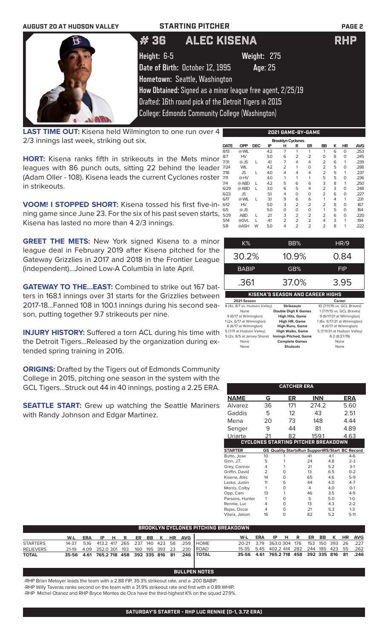| <b>AUGUST 20 AT HUDSON VALLEY</b> | <b>STARTING PITCHER</b>                                                                                                                                                                                  | <b>PAGE 2</b> |
|-----------------------------------|----------------------------------------------------------------------------------------------------------------------------------------------------------------------------------------------------------|---------------|
|                                   | ALEC KISENA<br># 36                                                                                                                                                                                      | RHP           |
|                                   | Height: 6-5<br>Weight: 275<br>Date of Birth: October 12, 1995<br>Age: 25                                                                                                                                 |               |
|                                   | Hometown: Seattle, Washington<br>How Obtained: Signed as a minor league free agent, 2/25/19<br>Drafted: 16th round pick of the Detroit Tigers in 2015<br>College: Edmonds Community College (Washington) |               |

**LAST TIME OUT:** Kisena held Wilmington to one run over 4 2/3 innings last week, striking out six.

**HORT:** Kisena ranks fifth in strikeouts in the Mets minor leagues with 86 punch outs, sitting 22 behind the leader (Adam Oller - 108). Kisena leads the current Cyclones roster in strikeouts.

**VOOM! I STOPPED SHORT:** Kisena tossed his first five-inning game since June 23. For the six of his past seven starts, Kisena has lasted no more than 4 2/3 innings.

**GREET THE METS:** New York signed Kisena to a minor league deal in February 2019 after Kisena pitched for the Gateway Grizzlies in 2017 and 2018 in the Frontier League (independent)...Joined Low-A Columbia in late April.

**GATEWAY TO THE...EAST:** Combined to strike out 167 batters in 168.1 innings over 31 starts for the Grizzlies between 2017-18...Fanned 108 in 100.1 innings during his second season, putting together 9.7 strikeouts per nine.

**INJURY HISTORY:** Suffered a torn ACL during his time with the Detroit Tigers...Released by the organization during extended spring training in 2016.

**ORIGINS:** Drafted by the Tigers out of Edmonds Community College in 2015, pitching one season in the system with the GCL Tigers...Struck out 44 in 40 innings, posting a 2.25 ERA.

**SEATTLE START:** Grew up watching the Seattle Mariners with Randy Johnson and Edgar Martinez.

| 2021 GAME-BY-GAME        |            |            |     |                |                |                |                |   |           |            |  |  |
|--------------------------|------------|------------|-----|----------------|----------------|----------------|----------------|---|-----------|------------|--|--|
| <b>Brooklyn Cyclones</b> |            |            |     |                |                |                |                |   |           |            |  |  |
| <b>DATE</b>              | <b>OPP</b> | <b>DEC</b> | ΙP  | н              | R              | ER             | BB             | ĸ | <b>HR</b> | <b>AVG</b> |  |  |
| 8/13                     | @ WIL      |            | 4.2 | $\overline{7}$ | 1              | 1              | 1              | 6 | O         | .253       |  |  |
| 8/7                      | HV         |            | 5.0 | 6              | $\overline{2}$ | $\overline{2}$ | O              | 8 | $\Omega$  | .245       |  |  |
| 7/31                     | $@$ JS     | L          | 41  | 7              | 4              | 4              | $\overline{2}$ | 6 | 1         | .239       |  |  |
| 7/24                     | <b>WIL</b> |            | 4.2 | $\overline{2}$ | 1              | 0              | $\overline{2}$ | 5 | O         | .288       |  |  |
| 7/18                     | <b>JS</b>  | L          | 4.0 | 4              | 4              | 4              | $\overline{2}$ | 5 | 1         | .237       |  |  |
| 7/11                     | @HV        |            | 4.0 | 1              | 1              | 1              | 5              | 5 | O         | .236       |  |  |
| 7/4                      | @ ABD      | L          | 4.2 | 5              | 6              | 6              | 3              | 8 | 1         | .250       |  |  |
| 6/29                     | @ ABD      | L          | 3.0 | 6              | 5              | 4              | 2              | 3 | O         | .248       |  |  |
| 6/23                     | <b>JS</b>  |            | 5.1 | 4              | 0              | 0              | $\overline{2}$ | 6 | O         | .227       |  |  |
| 6/17                     | @ WIL      | L          | 3.1 | 9              | 6              | 6              | 1              | 4 | 1         | .231       |  |  |
| 6/12                     | HV         |            | 5.0 | 3              | $\overline{2}$ | $\overline{2}$ | $\overline{2}$ | 8 | O         | .167       |  |  |
| 6/5                      | @ JS       |            | 5.0 | 0              | 0              | 0              | 1              | 5 | O         | .164       |  |  |
| 5/29                     | <b>ABD</b> |            | 2.1 | 3              | $\overline{2}$ | $\overline{2}$ | 2              | 6 | O         | .220       |  |  |
| 5/14                     | @GVL       |            | 41  | $\overline{2}$ | 2              | $\overline{2}$ | 4              | 3 | 1         | .194       |  |  |
| 5/8                      | @ASH       | W          | 5.0 | 4              | $\overline{2}$ | $\overline{2}$ | 2              | 8 | 1         | 222        |  |  |

| K%                                      | BB%               | HR/9                        |  |  |  |  |  |
|-----------------------------------------|-------------------|-----------------------------|--|--|--|--|--|
| 30.2%                                   | 10.9%             | 0.84                        |  |  |  |  |  |
| <b>BABIP</b>                            | GB%               | <b>FIP</b>                  |  |  |  |  |  |
| .361                                    | 37.0%             | 3.95                        |  |  |  |  |  |
| <b>KISENA'S SEASON AND CAREER HIGHS</b> |                   |                             |  |  |  |  |  |
| 2021 Season                             |                   | Career                      |  |  |  |  |  |
| 8 (4x, 8/7 vs. Hudson Valley)           | <b>Strikeouts</b> | 10 (7/11/15 vs. GCL Braves) |  |  |  |  |  |

| None                        | <b>Double Digit K Games</b>  | 1 (7/11/15 vs. GCL Braves)    |
|-----------------------------|------------------------------|-------------------------------|
| 9 (6/17 at Wilmington)      | <b>High Hits, Game</b>       | 9 (6/17/21 at Wilmington)     |
| 1 (2x, 6/17 at Wilmington)  | <b>High HR, Game</b>         | 1 (6x, 6/17/21 at Wilmington) |
| 6 (6/17 at Wilmington)      | <b>High Runs, Game</b>       | 6 (6/17 at Wilmington)        |
| 5 (7/11 at Hudson Valley)   | <b>High Walks, Game</b>      | 5 (7/11/21 at Hudson Valley)  |
| 5 (2x, 6/5 at Jersey Shore) | <b>Innings Pitched, Game</b> | 6.2(8/27/19)                  |
| None                        | <b>Complete Games</b>        | None                          |
| None                        | <b>Shutouts</b>              | None                          |
|                             |                              |                               |

|                                     |               | <b>CATCHER ERA</b> |                                                       |     |         |  |  |  |  |
|-------------------------------------|---------------|--------------------|-------------------------------------------------------|-----|---------|--|--|--|--|
| NAME                                | G             | ER                 | INN                                                   |     | ERA     |  |  |  |  |
| Alvarez                             | 36            | 171                | 274.2                                                 |     | 5.60    |  |  |  |  |
| Gaddis                              | 5             | 12                 | 43                                                    |     | 2.51    |  |  |  |  |
| Mena                                | 20            | 73                 | 148                                                   |     | 4.44    |  |  |  |  |
| Senger                              | 9             | 44                 | 81                                                    |     | 4.89    |  |  |  |  |
| Uriarte                             | 21            | 82                 | 159.1                                                 |     | 4.63    |  |  |  |  |
| CYCLONES STARTING PITCHER BREAKDOWN |               |                    |                                                       |     |         |  |  |  |  |
| <b>STARTER</b>                      |               |                    | <b>GS Quality StartsRun SupportRS/Start BC Record</b> |     |         |  |  |  |  |
| Butto, Jose                         | 10            |                    | 41                                                    | 4.1 | $4-6$   |  |  |  |  |
| Ginn, J.T.                          | 5             |                    | 24                                                    | 4.8 | $2 - 3$ |  |  |  |  |
| Grey, Connor                        | 4             |                    | 21                                                    | 5.2 | $3-1$   |  |  |  |  |
| Griffin, David                      | $\mathcal{P}$ | O                  | 13                                                    | 6.5 | $0 - 2$ |  |  |  |  |
| Kisena, Alec                        | 14            | O                  | 65                                                    | 46  | $5-9$   |  |  |  |  |
| Lasko, Justin                       | 11            | 6                  | 44                                                    | 4.0 | $4 - 7$ |  |  |  |  |
| Morris, Colby                       | 1             | 0                  | 4                                                     | 4.0 | $O-1$   |  |  |  |  |
| Opp, Cam                            | 13            | 1                  | 46                                                    | 3.5 | $4 - 9$ |  |  |  |  |
| Parsons, Hunter                     | 1             | O                  | 5                                                     | 5.0 | $1 - 0$ |  |  |  |  |
| Rennie, Luc                         | 4             | O                  | 13                                                    | 4.3 | $2 - 2$ |  |  |  |  |
| Rojas, Oscar                        | 4             | O                  | 21                                                    | 5.3 | $1-3$   |  |  |  |  |
| Vilera, Jaison                      | 16            | 0                  | 82                                                    | 5.2 | $5-11$  |  |  |  |  |

|                  | <b>BROOKLYN CYCLONES PITCHING BREAKDOWN</b> |  |  |  |  |  |  |  |  |                        |                                                             |                                              |  |  |  |  |                          |
|------------------|---------------------------------------------|--|--|--|--|--|--|--|--|------------------------|-------------------------------------------------------------|----------------------------------------------|--|--|--|--|--------------------------|
|                  | W-L                                         |  |  |  |  |  |  |  |  | ERA IPHR ER BBK HRAVGI |                                                             | W-L                                          |  |  |  |  | ERA IP HR ER BB K HR AVG |
| <b>STARTERS</b>  |                                             |  |  |  |  |  |  |  |  |                        | 14-37 5.16 413.2 417 265 237 140 423 58 259 HOME            | 20-21 3.79 363.0304 176 153 150 393 26 .227  |  |  |  |  |                          |
| <b>RELIEVERS</b> |                                             |  |  |  |  |  |  |  |  |                        | 21-19  4.09  352.0  301  193  160  195  393  23  .230  ROAD | 15-35 5.45 402.2 414 282 244 185 423 55 .262 |  |  |  |  |                          |
| <b>TOTAL</b>     |                                             |  |  |  |  |  |  |  |  |                        | 35-56 4.61 765.2 718 458 392 335 816 81 .246 TOTAL          | 35-56 4.61 765.2 718 458 392 335 816 81 .246 |  |  |  |  |                          |

### **BULLPEN NOTES**

-RHP Brian Metoyer leads the team with a 2.88 FIP, 35.3% strikeout rate, and a .200 BABIP.

-RHP Willy Taveras ranks second on the team with a 31.9% strikeout rate and first with a 0.89 WHIP.

-RHP Michel Otanez and RHP Bryce Montes de Oca have the third-highest K% on the squad 27.9%.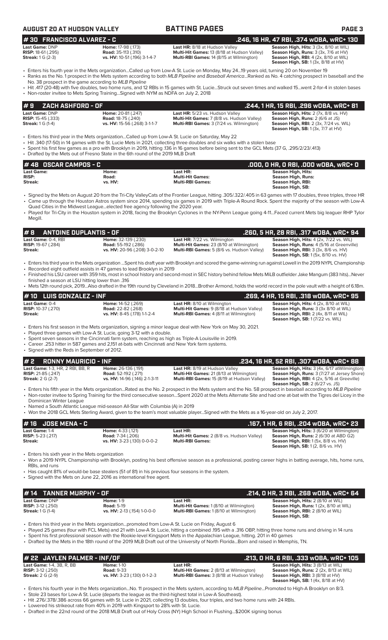| <b>AUGUST 20 AT HUDSON VALLEY</b>                                                         |                                                                                                                                                                                                                                                                                 | <b>BATTING PAGES</b>                                                                                                                                                                                                                                                                                                                                                                                                                                                                         | <b>PAGE 3</b>                                                                                                                                                                      |
|-------------------------------------------------------------------------------------------|---------------------------------------------------------------------------------------------------------------------------------------------------------------------------------------------------------------------------------------------------------------------------------|----------------------------------------------------------------------------------------------------------------------------------------------------------------------------------------------------------------------------------------------------------------------------------------------------------------------------------------------------------------------------------------------------------------------------------------------------------------------------------------------|------------------------------------------------------------------------------------------------------------------------------------------------------------------------------------|
| #30 FRANCISCO ALVAREZ - C                                                                 |                                                                                                                                                                                                                                                                                 |                                                                                                                                                                                                                                                                                                                                                                                                                                                                                              | .246, 16 HR, 47 RBI, .374 wOBA, wRC+ 130                                                                                                                                           |
| Last Game: DNP<br>RISP: 18-61 (.295)<br><b>Streak:</b> 1 G (2-3)                          | Home: 17-98 (.173)<br><b>Road:</b> 35-113 (.310)<br>vs. HV: 10-51 (.196) 3-1-4-7                                                                                                                                                                                                | Last HR: 8/18 at Hudson Valley<br>Multi-Hit Games: 13 (8/18 at Hudson Valley)<br>Multi-RBI Games: 14 (8/15 at Wilmington)                                                                                                                                                                                                                                                                                                                                                                    | Season High, Hits: 3 (3x, 8/10 at WIL)<br>Season High, Runs: 3 (3x, 7/6 at HV)<br>Season High, RBI: 4 (2x, 8/10 at WIL)<br><b>Season High, SB:</b> 1 (3x, 8/18 at HV)              |
| No. 38 prospect in the game according to MLB Pipeline                                     |                                                                                                                                                                                                                                                                                 | • Enters his fourth year in the Mets organizationCalled up from Low-A St. Lucie on Monday, May 2419 years old, turning 20 on November 19<br>· Ranks as the No. 1 prospect in the Mets system according to both MLB Pipeline and Baseball AmericaRanked as No. 4 catching prospect in baseball and the<br>• Hit .417 (20-48) with five doubles, two home runs, and 12 RBIs in 15 games with St. LucieStruck out seven times and walked 15went 2-for-4 in stolen bases                         |                                                                                                                                                                                    |
|                                                                                           | • Non-roster invitee to Mets Spring TrainingSigned with NYM as NDFA on July 2, 2018                                                                                                                                                                                             |                                                                                                                                                                                                                                                                                                                                                                                                                                                                                              |                                                                                                                                                                                    |
| #9<br><b>ZACH ASHFORD - OF</b>                                                            |                                                                                                                                                                                                                                                                                 |                                                                                                                                                                                                                                                                                                                                                                                                                                                                                              | .244, 1 HR, 15 RBI, .296 WOBA, WRC+ 81                                                                                                                                             |
| Last Game: DNP<br><b>RISP:</b> 15-45 (.333)<br><b>Streak:</b> 1 G (1-4)                   | Home: 20-81 (.247)<br><b>Road: 18-75 (.240)</b><br>vs. HV: 15-56 (.268) 3-1-1-7                                                                                                                                                                                                 | Last HR: 5/23 vs. Hudson Valley<br>Multi-Hit Games: 7 (8/8 vs. Hudson Valley)<br>Multi-RBI Games: 3 (7/24 vs. Wilmington)                                                                                                                                                                                                                                                                                                                                                                    | Season High, Hits: 2 (7x, 8/8 vs. HV)<br>Season High, Runs: 2 (6/6 at JS)<br>Season High, RBI: 2 (3x, 7/24 vs. WIL)<br><b>Season High, SB: 1 (3x, 7/7 at HV)</b>                   |
|                                                                                           | Enters his third year in the Mets organizationCalled up from Low-A St. Lucie on Saturday, May 22 •<br>• Drafted by the Mets out of Fresno State in the 6th round of the 2019 MLB Draft                                                                                          | • Hit .340 (17-50) in 14 games with the St. Lucie Mets in 2021, collecting three doubles and six walks with a stolen base<br>· Spent his first few games as a pro with Brooklyn in 2019, hitting .136 in 16 games before being sent to the GCL Mets (37 G, .295/2/23/.413)                                                                                                                                                                                                                   |                                                                                                                                                                                    |
| #48 OSCAR CAMPOS - C                                                                      |                                                                                                                                                                                                                                                                                 |                                                                                                                                                                                                                                                                                                                                                                                                                                                                                              | .000, 0 HR, 0 RBI, .000 WOBA, WRC+ 0                                                                                                                                               |
| <b>Last Game:</b><br><b>RISP:</b><br>Streak:                                              | Home:<br>Road:<br>vs. HV:                                                                                                                                                                                                                                                       | Last HR:<br><b>Multi-Hit Games:</b><br><b>Multi-RBI Games:</b>                                                                                                                                                                                                                                                                                                                                                                                                                               | <b>Season High, Hits:</b><br>Season High, Runs:<br>Season High, RBI:<br>Season High, SB:                                                                                           |
| Megill.                                                                                   | Quad Cities in the Midwest Leagueelected free agency following the 2020 year.                                                                                                                                                                                                   | • Signed by the Mets on August 20 from the Tri-City ValleyCats of the Frontier League, hitting .305/.322/.405 in 63 games with 17 doubles, three triples, three HR<br>• Came up through the Houston Astros system since 2014, spending six games in 2019 with Triple-A Round Rock. Spent the majority of the season with Low-A<br>• Played for Tri-City in the Houston system in 2018, facing the Brooklyn Cyclones in the NY-Penn League going 4-11Faced current Mets big leaguer RHP Tylor |                                                                                                                                                                                    |
| <b>ANTOINE DUPLANTIS - OF</b><br>#8                                                       |                                                                                                                                                                                                                                                                                 |                                                                                                                                                                                                                                                                                                                                                                                                                                                                                              | .260, 5 HR, 28 RBI, .317 wOBA, wRC+ 94                                                                                                                                             |
| Last Game: 0-4, RBI<br><b>RISP:</b> 19-67 (.284)<br>Streak:                               | Home: 32-139 (.230)<br><b>Road:</b> 55-192 (.286)<br>vs. HV: 20-96 (.208) 3-0-2-10                                                                                                                                                                                              | Last HR: 7/22 vs. Wilmington<br>Multi-Hit Games: 23 (8/10 at Wilmington)<br>Multi-RBI Games: 5 (8/6 vs. Hudson Valley)                                                                                                                                                                                                                                                                                                                                                                       | Season High, Hits: 4 (2x, 7/22 vs. WIL)<br>Season High, Runs: 4 (5/16 at Greenville)<br><b>Season High, RBI:</b> 3 (3x, 8/6 vs. HV)<br><b>Season High, SB:</b> 1 (5x, 8/10 vs. HV) |
|                                                                                           | • Recorded eight outfield assists in 47 games to lead Brooklyn in 2019                                                                                                                                                                                                          | · Enters his third year in the Mets organization Spent his draft year with Brooklyn and scored the game-winning run against Lowell in the 2019 NYPL Championship<br>· Finished his LSU career with 359 hits, most in school history and second-most in SEC history behind fellow Mets MiLB outfielder Jake Mangum (383 hits)Never                                                                                                                                                            |                                                                                                                                                                                    |
| finished a season at LSU hitting lower than .316                                          |                                                                                                                                                                                                                                                                                 | • Mets 12th round pick, 2019Also drafted in the 19th round by Cleveland in 2018Brother Armond, holds the world record in the pole vault with a height of 6.18m.                                                                                                                                                                                                                                                                                                                              |                                                                                                                                                                                    |
| #10 LUIS GONZALEZ - INF                                                                   |                                                                                                                                                                                                                                                                                 |                                                                                                                                                                                                                                                                                                                                                                                                                                                                                              | .269, 4 HR, 15 RBI, .318 wOBA, wRC+ 95                                                                                                                                             |
| Last Game: 0-4<br>RISP: 10-37 (.270)<br>Streak:                                           | Home: 14-52 (.269)<br><b>Road: 22-82 (.268)</b><br>vs. HV: 8-45 (.178) 1-1-2-4                                                                                                                                                                                                  | Last HR: 8/10 at Wilmington<br>Multi-Hit Games: 9 (8/18 at Hudson Valley)<br>Multi-RBI Games: 4 (8/11 at Wilmington)                                                                                                                                                                                                                                                                                                                                                                         | Season High, Hits: 4 (2x, 8/10 at WIL)<br><b>Season High, Runs:</b> 3 (3x 8/10 at WIL)<br>Season High, RBI: 2 (4x, 8/11 at WIL)<br>Season High, SB: 1 (7/22 vs. WIL)               |
| • Signed with the Reds in September of 2012.                                              | • Played three games with Low-A St. Lucie, going 3-12 with a double.<br>• Spent seven seasons in the Cincinnati farm system, reaching as high as Triple-A Louisville in 2019.<br>• Career .253 hitter in 587 games and 2,151 at-bats with Cincinnati and New York farm systems. | • Enters his first season in the Mets organization, signing a minor league deal with New York on May 30, 2021.                                                                                                                                                                                                                                                                                                                                                                               |                                                                                                                                                                                    |
| #2<br><b>RONNY MAURICIO - INF</b>                                                         |                                                                                                                                                                                                                                                                                 |                                                                                                                                                                                                                                                                                                                                                                                                                                                                                              | .234, 16 HR, 52 RBI, .307 w0BA, wRC+ 88                                                                                                                                            |
| Last Game: 1-3, HR, 2 RBI, BB, R<br><b>RISP:</b> 21-85 (.247)<br><b>Streak:</b> 2 G (2-7) | Home: 26-136 (.191)<br>Road: 52-192 (.271)<br>vs. HV: 14-96 (.146) 2-1-3-11                                                                                                                                                                                                     | Last HR: 8/19 at Hudson Valley<br>Multi-Hit Games: 21 (8/13 at Wilmington)<br>Multi-RBI Games: 15 (8/19 at Hudson Valley)                                                                                                                                                                                                                                                                                                                                                                    | Season High, Hits: 3 (4x, 6/17 atWilmington)<br>Season High, Runs: 3 (7/27 at Jersey Shore)<br>Season High, RBI: 4 (2x, 5/16 at Greeville)<br>Season High, SB: 2 (6/27 vs. JS)     |
| Dominican Winter League                                                                   | • Named a South Atlantic League mid-season All-Star with Columbia (A) in 2019                                                                                                                                                                                                   | • Enters his fifth year in the Mets organizationRated as the No. 2 prospect in the Mets system and the No. 58 prospect in baseball according to MLB Pipeline<br>• Non-roster invitee to Spring Training for the third consecutive seasonSpent 2020 at the Mets Alternate Site and had one at-bat with the Tigres del Licey in the<br>• Won the 2018 GCL Mets Sterling Award, given to the team's most valuable playerSigned with the Mets as a 16-year-old on July 2, 2017.                  |                                                                                                                                                                                    |
|                                                                                           |                                                                                                                                                                                                                                                                                 |                                                                                                                                                                                                                                                                                                                                                                                                                                                                                              |                                                                                                                                                                                    |
| <b>JOSE MENA - C</b><br># 16<br>Last Game: 1-4                                            | Home: 4-33 (.121)                                                                                                                                                                                                                                                               | Last HR:                                                                                                                                                                                                                                                                                                                                                                                                                                                                                     | .167, 1 HR, 6 RBI, .204 wOBA, wRC+ 23<br>Season High, Hits: 3 (6/20 at Wilmington)                                                                                                 |
| <b>RISP:</b> 5-23 (.217)<br><b>Streak:</b>                                                | <b>Road: 7-34 (.206)</b><br>vs. HV: 3-23 (.130) 0-0-0-2                                                                                                                                                                                                                         | Multi-Hit Games: 2 (8/8 vs. Hudson Valley)<br><b>Multi-RBI Games:</b>                                                                                                                                                                                                                                                                                                                                                                                                                        | Season High, Runs: 2 (6/30 at ABD G2)<br><b>Season High, RBI:</b> 1(5x, 8/8 vs. HV)<br><b>Season High, SB:</b> 1(2, 8/6 vs. HV)                                                    |
| • Enters his sixth year in the Mets organization<br>RBIs, and runs                        |                                                                                                                                                                                                                                                                                 | • Won a 2019 NYPL Championship with Brooklyn, posting his best offensive season as a professional, posting career highs in batting average, hits, home runs,                                                                                                                                                                                                                                                                                                                                 |                                                                                                                                                                                    |
|                                                                                           | • Has caught 81% of would-be base stealers (51 of 81) in his previous four seasons in the system.<br>• Signed with the Mets on June 22, 2016 as international free agent.                                                                                                       |                                                                                                                                                                                                                                                                                                                                                                                                                                                                                              |                                                                                                                                                                                    |
| <b>TANNER MURPHY - OF</b><br># 14                                                         |                                                                                                                                                                                                                                                                                 |                                                                                                                                                                                                                                                                                                                                                                                                                                                                                              | .214, 0 HR, 3 RBI, .268 w0BA, wRC+ 64                                                                                                                                              |
| <b>Last Game: DNP</b><br><b>RISP:</b> $3-12$ (.250)<br><b>Streak:</b> 1 G (1-4)           | <b>Home: 1-9</b><br><b>Road: 5-19</b><br>vs. HV: 2-13 (.154) 1-0-0-0                                                                                                                                                                                                            | Last HR:<br>Multi-Hit Games: 1 (8/10 at Wilmington)<br>Multi-RBI Games: 1 (8/10 at Wilmington)                                                                                                                                                                                                                                                                                                                                                                                               | Season High, Hits: 2 (8/10 at WIL)<br>Season High, Runs: 1 (2x, 8/10 at WIL)<br>Season High, RBI: 2 (8/10 at WIL)<br>Season High, SB:                                              |
|                                                                                           | Enters his third year in the Mets organizationpromoted from Low-A St. Lucie on Friday, August 6 •                                                                                                                                                                               | • Played 25 games (four with FCL Mets) and 21 with Low-A St. Lucie, hitting a combined 195 with a .316 OBP, hitting three home runs and driving in 14 runs<br>• Spent his first professional season with the Rookie-level Kingsport Mets in the Appalachian League, hitting. 201 in 40 games<br>• Drafted by the Mets in the 18th round of the 2019 MLB Draft out of the University of North FloridaBorn and raised in Memphis, TN.                                                          |                                                                                                                                                                                    |
| # 22 JAYLEN PALMER - INF/OF                                                               |                                                                                                                                                                                                                                                                                 |                                                                                                                                                                                                                                                                                                                                                                                                                                                                                              | .213, 0 HR, 6 RBI, .333 wOBA, wRC+ 105                                                                                                                                             |
| Last Game: 1-4, 3B, R, BB<br><b>RISP: 3-12 (.250)</b><br><b>Streak:</b> 2 G (2-9)         | <b>Home: 1-10</b><br><b>Road: 9-33</b><br>vs. HV: 3-23 (.130) 0-1-2-3                                                                                                                                                                                                           | Last HR:<br>Multi-Hit Games: 2 (8/13 at Wilmington)<br>Multi-RBI Games: 3 (8/18 at Hudson Valley)                                                                                                                                                                                                                                                                                                                                                                                            | Season High, Hits: 3 (8/13 at WIL)<br>Season High, Runs: 2 (2x, 8/13 at WIL)<br><b>Season High, RBI: 3 (8/18 at HV)</b>                                                            |

 **Season High, SB:** 1 (4x, 8/18 at HV) • Enters his fourth year in the Mets organization...No. 11 prospect in the Mets system, according to *MLB Pipeline*...Promoted to High-A Brooklyn on 8/3. • Stole 23 bases for Low-A St. Lucie (departs the league as the third-highest total in Low-A Southeast).

• Hit .276/.378/.386 across 66 games with St. Lucie in 2021, collecting 13 doubles, four triples, and two home runs with 24 RBIs.

• Lowered his strikeout rate from 40% in 2019 with Kingsport to 28% with St. Lucie.

• Drafted in the 22nd round of the 2018 MLB Draft out of Holy Cross (NY) High School in Flushing...\$200K signing bonus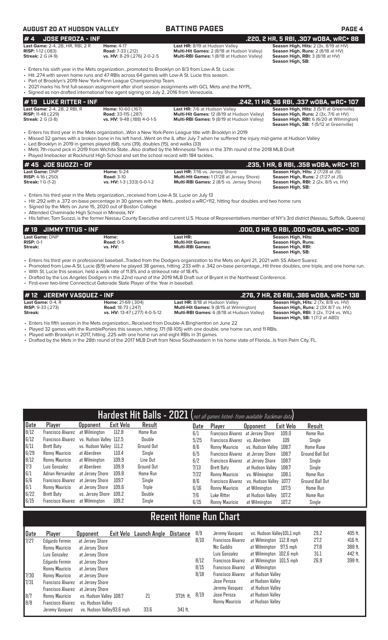## **AUGUST 20 AT HUDSON VALLEY BATTING PAGES PAGE 4**

**Streak: 2 G (4-9)**<br>**Streak: 2 G (4-9)**<br>**Streak: 2 G (4-9) vs. HV:** 8-29 (.276) 2-0-2-5 **Multi-RBI Games:** 1 (8/18 at Hudson Valley) **Season High, Runs: 2** (8/18 at HV)<br>**Streak: 2** G (4-9) **vs. HV:** 8-29 (.276) 2-0-2-5

**# 4 JOSE PEROZA - INF .220, 2 HR, 5 RBI, .307 wOBA, wRC+ 88 Last Game:** 2-4, 2B, HR, RBI, 2 R **Home:** 4-17 **Last HR:** 8/19 at Hudson Valley **Season High, Hits:** 2 (3x, 8/19 at HV) **RISP:** 1-12 (.083) **Road:** 7-33 (.212) **Multi-Hit Games:** 2 (8/18 at Hudson Valley) **Season High, Runs:** 2 (8/18 at HV) Season High, RBI: 3 (8/18 at HV)<br>Season High, SB:

- Enters his sixth year in the Mets organization...promoted to Brooklyn on 8/3 from Low-A St. Lucie.
- Hit .274 with seven home runs and 47 RBIs across 64 games with Low-A St. Lucie this season
- Part of Brooklyn's 2019 New York-Penn League Championship Team.
- 2021 marks his first full-season assignment after short season assignments with GCL Mets and the NYPL. • Signed as non-drafted international free agent signing on July 2, 2016 from Venezuela.

| $\sharp$ 19 $\,$ LUKE RITTER - INF $\,$ |                             |                                                   | .242, 11 HR, 36 RBI, .337 WOBA, WRC+ 107               |
|-----------------------------------------|-----------------------------|---------------------------------------------------|--------------------------------------------------------|
| <b>Last Game:</b> 2-4, 2B, 2 RBI, R     | Home: 10-60 (.167)          | <b>Last HR:</b> 7/6 at Hudson Valley              | <b>Season High, Hits: 3 (5/11 at Greenville)</b>       |
| <b>RISP:</b> 11-48 $(.229)$             | <b>Road:</b> 33-115 (.287)  | Multi-Hit Games: 12 (8/19 at Hudson Valley)       | <b>Season High, Runs:</b> $2$ ( $3x$ , $7/6$ at $HV$ ) |
| <b>Streak:</b> 2 G (3-8)                | vs. HV: 9-48 (.188) 4-0-1-5 | <b>Multi-RBI Games:</b> 9 (8/19 at Hudson Valley) | <b>Season High, RBI:</b> 6 (6/20 at Wilmington)        |
|                                         |                             |                                                   | Season High, SB: 1(5/12 at Greenville)                 |

• Enters his third year in the Mets organization...Won a New York-Penn League title with Brooklyn in 2019

• Missed 32 games with a broken bone in his left hand...Went on the IL after July 7 when he suffered the injury mid-game at Hudson Valley

• Led Brooklyn in 2019 in games played (68), runs (39), doubles (15), and walks (33)

• Mets 7th-round pick in 2019 from Wichita State...Also drafted by the Minnesota Twins in the 37th round of the 2018 MLB Draft • Played linebacker at Rockhurst High School and set the school record with 184 tackles.

| They cannobacker at Rockhardt High Ochoor and Set the School record With TO F tackles. |                            |                                                  |                                             |  |  |  |  |  |  |
|----------------------------------------------------------------------------------------|----------------------------|--------------------------------------------------|---------------------------------------------|--|--|--|--|--|--|
| $#45$ JOE SUOZZI - OF                                                                  |                            |                                                  | .235. 1 HR. 6 RBI. .358 WOBA. WRC+ 121      |  |  |  |  |  |  |
| Last Game: DNP                                                                         | <b>Home: 5-24</b>          | <b>Last HR:</b> 7/16 vs. Jersey Shore            | <b>Season High, Hits: 2 (7/28 at JS)</b>    |  |  |  |  |  |  |
| <b>RISP:</b> $4-16$ (.250)                                                             | <b>Road: 3-10</b>          | <b>Multi-Hit Games: 1 (7/28 at Jersey Shore)</b> | <b>Season High, Runs: 2 (7/27 at JS)</b>    |  |  |  |  |  |  |
| <b>Streak:</b> $1 G (1-2)$                                                             | vs. HV: 1-3 (.333) 0-0-1-2 | Multi-RBI Games: 2 (8/5 vs. Jersey Shore)        | <b>Season High, RBI:</b> 2 (2x, 8/5 vs. HV) |  |  |  |  |  |  |
|                                                                                        |                            |                                                  | Season High, SB:                            |  |  |  |  |  |  |

• Enters his third year in the Mets organization...received from Low-A St. Lucie on July 13

• Hit .292 with a .372 on-base percentage in 30 games with the Mets...posted a wRC+112, hitting four doubles and two home runs<br>• Signed by the Mets on June 15, 2020 out of Boston College

• Signed by the Mets on June 15, 2020 out of Boston College

• Attended Chaminade High School in Mineola, NY

• His father, Tom Suozzi, is the former Nassau County Executive and current U.S. House of Representatives member of NY's 3rd district (Nassau, Suffolk, Queens)

| $#19$ JIMMY TITUS - INF |             |                         | .000, 0 HR, 0 RBI, .000 w0BA, wRC+ -100 |
|-------------------------|-------------|-------------------------|-----------------------------------------|
| Last Game: DNP          | Home:       | Last HR:                | Season High, Hits:                      |
| $RISP: 0-1$             | Road: $0-5$ | <b>Multi-Hit Games:</b> | Season High, Runs:                      |
| Streak:                 | vs. HV:     | <b>Multi-RBI Games:</b> | Season High, RBI:                       |
|                         |             |                         | Season High, SB:                        |

• Enters his third year in professional baseball...Traded from the Dodgers organization to the Mets on April 21, 2021 with SS Albert Suarez.

- Promoted from Low-A St. Lucie (8/9) where he played 38 games, hitting .233 with a .342 on-base percentage...Hit three doubles, one triple, and one home run.
- With St. Lucie this season, held a walk rate of 11.8% and a strikeout rate of 18.4%.
- Drafted by the Los Angeles Dodgers in the 22nd round of the 2019 MLB Draft out of Bryant in the Northeast Conference.

| • First-ever two-time Connecticut Gatorade State Player of the Year in baseball. |  |
|----------------------------------------------------------------------------------|--|
|                                                                                  |  |

| #12 JEREMY VASQUEZ - INF                                            |                                                        |                                                                                         | .276, 7 HR, 26 RBI, .386 wOBA, wRC+ 138                                                 |
|---------------------------------------------------------------------|--------------------------------------------------------|-----------------------------------------------------------------------------------------|-----------------------------------------------------------------------------------------|
| <b>Last Game: <math>0-4</math>. R</b><br><b>RISP:</b> $9-33$ (.273) | <b>Home: 21-69 (.304)</b><br><b>Road:</b> 18-73 (.247) | <b>Last HR: 8/18 at Hudson Valley</b><br><b>Multi-Hit Games: 9 (8/15 at Wilmington)</b> | Season High, Hits: 2 (7x, 8/8 vs. HV)<br><b>Season High, Runs: 2 (3X 8/7 vs. HV)</b>    |
| Streak:                                                             | vs. HV: 13-47 (.277) 4-0-5-12                          | <b>Multi-RBI Games:</b> 6 (8/18 at Hudson Valley)                                       | <b>Season High, RBI: 3 (2x, 7/24 vs. WIL)</b><br><b>Season High, SB: 1 (7/2 at ABD)</b> |

• Enters his fifth season in the Mets organization...Received from Double-A Binghamton on June 22

• Played 32 games with the RumblePonies this season, hitting .171 (18-105) with one double, one home run, and 11 RBIs.<br>• Played with Brooklyn in 2017 hitting .225 with one home run and eight PBIs in 31 games

- Played with Brooklyn in 2017, hitting .225 with one home run and eight RBIs in 31 games.
- Drafted by the Mets in the 28th round of the 2017 MLB Draft from Nova Southeastern in his home state of Florida...Is from Palm City, FL.

| Hardest Hit Balls - 2021 (not all games listed- from available Trackman data) |                                           |                         |           |                   |  |      |                                   |                         |           |                        |
|-------------------------------------------------------------------------------|-------------------------------------------|-------------------------|-----------|-------------------|--|------|-----------------------------------|-------------------------|-----------|------------------------|
| Date                                                                          | Player                                    | <b>Upponent</b>         | Exit Velo | Result            |  | Date | Player                            | <b>Opponent</b>         | Exit Velo | Result                 |
| 8/12                                                                          | <b>Francisco Alvarez</b>                  | at Wilmington           | 112.8     | <b>Home Run</b>   |  | 6/1  | Francisco Alvarez at Jersey Shore |                         | 109.0     | <b>Home Run</b>        |
| 6/12                                                                          | Francisco Alvarez vs. Hudson Valley 112.5 |                         |           | Double            |  | 5/25 | <b>Francisco Alvarez</b>          | vs. Aberdeen            | 109       | Single                 |
| 6/11                                                                          | Brett Baty                                | vs. Hudson Valley 111.2 |           | <b>Ground Out</b> |  | 8/6  | Ronny Mauricio                    | vs. Hudson Valley 108.7 |           | <b>Home Rune</b>       |
| 6/29                                                                          | Ronny Mauricio                            | at Aberdeen             | 110.4     | Single            |  | 6/5  | Francisco Alvarez                 | at Jersey Shore         | 108.7     | <b>Ground Ball Out</b> |
| 8/12                                                                          | Ronny Mauricio                            | at Wilmington           | 109.9     | Line Out          |  | 6/2  | <b>Francisco Alvarez</b>          | at Jersev Shore         | 108.7     | Single                 |
| 7/3                                                                           | Luis Gonzalez                             | at Aberdeen             | 109.9     | <b>Ground Out</b> |  | 7/13 | Brett Baty                        | at Hudson Valley        | 108.7     | Single                 |
| 6/1                                                                           | Adrian Hernandez                          | at Jersev Shore         | 109.8     | <b>Home Run</b>   |  | 7/22 | Ronny Mauricio                    | vs. Wilmington          | 108.1     | Home Run               |
| 6/6                                                                           | Francisco Alvarez                         | at Jersev Shore         | 109.7     | Single            |  | 8/6  | Francisco Alvarez                 | vs. Hudson Valley 107.7 |           | <b>Ground Ball Out</b> |
| 6/1                                                                           | Ronny Mauricio                            | at Jersev Shore         | 109.6     | Triple            |  | 6/16 | Ronny Mauricio                    | at Wilmington           | 107.5     | Home Run               |
| 6/22                                                                          | Brett Baty                                | vs. Jersev Shore        | 109.2     | Double            |  | 7/6  | Luke Ritter                       | at Hudson Valley        | 107.2     | <b>Home Run</b>        |
| 6/15                                                                          | Francisco Alvarez                         | at Wilmington           | 109.2     | Single            |  | 6/15 | Ronny Mauricio                    | at Wilmington           | 107.2     | Single                 |

# **Recent Home Run Chart**

| Date | Player            | <b>Opponent</b>           | Exit Velo | Launch Angle | Distance  | 8/9<br>8/10 | Jeremy Vasquez<br><b>Francisco Alvarez</b> | vs. Hudson Valley101.1 mph | 29.2<br>27.2 | 405 ft.<br>416 ft. |
|------|-------------------|---------------------------|-----------|--------------|-----------|-------------|--------------------------------------------|----------------------------|--------------|--------------------|
| 7/27 | Edgardo Fermin    | at Jersey Shore           |           |              |           |             |                                            | at Wilmington 112.8 mph    |              |                    |
|      | Ronny Mauricio    | at Jersey Shore           |           |              |           |             | Nic Gaddis                                 | at Wilmington 97.5 mph     | 27.8         | 388 ft.            |
|      | Luis Gonzalez     | at Jersey Shore           |           |              |           |             | Luis Gonzalez                              | at Wilmington 102.6 mph    | 31.1         | 442 ft.            |
|      | Edgardo Fermin    | at Jersey Shore           |           |              |           | 8/12        | <b>Francisco Alvarez</b>                   | at Wilmington 101.5 mph    | 26.9         | 398 ft.            |
|      | Ronny Mauricio    | at Jersey Shore           |           |              |           | 8/15        | <b>Francisco Alvarez</b>                   | at Wilmington              |              |                    |
| 7/30 | Ronny Mauricio    | at Jersev Shore           |           |              |           | 8/18        | <b>Francisco Alvarez</b>                   | at Hudson Valley           |              |                    |
| 7/31 | Francisco Alvarez | at Jersev Shore           |           |              |           |             | Jose Peroza                                | at Hudson Valley           |              |                    |
|      | Francisco Alvarez | at Jersev Shore           |           |              |           |             | Jeremy Vasquez                             | at Hudson Valley           |              |                    |
| 8/7  | Ronny Mauricio    | vs. Hudson Valley 108.7   |           | 21           | 371ft ft. | 8/19        | Jose Peroza                                | at Hudson Valley           |              |                    |
| 8/8  | Francisco Alvarez | vs. Hudson Valley         |           |              |           |             | Ronny Mauricio                             | at Hudson Valley           |              |                    |
|      | Jeremy Vasquez    | vs. Hudson Vallev93.6 mph |           | 33.6         | 341 ft.   |             |                                            |                            |              |                    |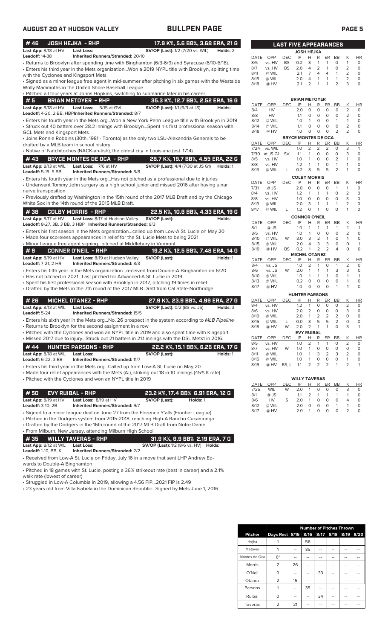| #46                                                  | <b>JOSH HEJKA - RHP</b>                                                            | 17.9 K%, 5.6 BB%, 3.68 ERA, 21 G                                                                                                                                                  |          |              |                     | <b>LAST FIVE APPEARANCES</b> |                             |                         |                         |                              |                         |                                |                          |
|------------------------------------------------------|------------------------------------------------------------------------------------|-----------------------------------------------------------------------------------------------------------------------------------------------------------------------------------|----------|--------------|---------------------|------------------------------|-----------------------------|-------------------------|-------------------------|------------------------------|-------------------------|--------------------------------|--------------------------|
| Last App: 8/18 at HV                                 | <b>Last Loss:</b>                                                                  | <b>SV/OP (Last):</b> 1/2 (7/20 vs. WIL)                                                                                                                                           | Holds: 2 |              |                     |                              | <b>JOSH HEJKA</b>           |                         |                         |                              |                         |                                |                          |
| <b>Leadoff: 14-38</b>                                | Inherited Runners/Stranded: 20/10                                                  |                                                                                                                                                                                   |          | DATE         | OPP                 | <b>DEC</b>                   | IP                          | н                       | R                       | ER                           | BB                      | Κ                              | HI                       |
|                                                      |                                                                                    | · Returns to Brooklyn after spending time with Binghamton (6/3-6/9) and Syracuse (6/10-6/18).                                                                                     |          | 8/5          | vs. HV              | <b>BS</b><br><b>BS</b>       | 0.2                         | 3                       | 1                       | $\mathbf{1}$<br>$\mathbf{1}$ | O                       | $\mathbf{1}$                   | 0<br>$\Omega$            |
|                                                      |                                                                                    | • Enters his third year in the Mets organizationWon a 2019 NYPL title with Brooklyn, splitting time                                                                               |          | 8/7<br>8/11  | vs. HV<br>@ WIL     |                              | 2.0<br>2.1                  | 4<br>$\overline{7}$     | 2<br>$\overline{4}$     | $\overline{4}$               | $\circ$<br>$\mathbf{1}$ | 2<br>$\overline{2}$            | $\Omega$                 |
| with the Cyclones and Kingsport Mets                 |                                                                                    | • Signed as a minor league free agent in mid-summer after pitching in six games with the Westside                                                                                 |          | 8/15         | @ WIL               |                              | 2.0                         | 4                       | $\mathbf{1}$            | $\mathbf{1}$                 | $\mathbf{1}$            | $\overline{2}$                 | 0                        |
|                                                      | Wolly Mammoths in the United Shore Baseball League                                 |                                                                                                                                                                                   |          | 8/18         | @ HV                |                              | 2.1                         | 2                       |                         |                              | $\overline{2}$          | 3                              | 0                        |
|                                                      |                                                                                    | . Pitched all four years at Johns Hopkins, switching to submarine later in his career.                                                                                            |          |              |                     |                              |                             |                         |                         |                              |                         |                                |                          |
| #5                                                   | <b>BRIAN METOYER - RHP</b>                                                         | 35.3 K%, 12.7 BB%, 2.52 ERA, 16 G                                                                                                                                                 |          |              |                     |                              | <b>BRIAN METOYER</b>        |                         |                         |                              |                         |                                |                          |
| Last App: 8/18 at HV                                 | Last Loss: 5/15 at GVL                                                             | <b>SV/OP (Last):</b> 1/1 (6/3 at JS)                                                                                                                                              | Holds:   | DATE         | OPP                 | <b>DEC</b>                   | IP                          | Н                       | R                       | ER                           | BB                      | Κ                              | HI                       |
|                                                      | Leadoff: 4-20, 2 BB, HBPInherited Runners/Stranded: 8/7                            |                                                                                                                                                                                   |          | 8/4          | <b>HV</b>           |                              | 2.0                         | 0                       | 0                       | 0                            | 0                       | 2                              | 0                        |
|                                                      |                                                                                    | • Enters his fourth year in the Mets orgWon a New York Penn League title with Brooklyn in 2019                                                                                    |          | 8/8<br>8/12  | HV<br>@ WIL         |                              | 1.1<br>1.0                  | O<br>$\mathbf{1}$       | $\circ$<br>$\circ$      | $\circ$<br>$\circ$           | 0<br>$\mathbf{1}$       | $\overline{2}$<br>$\mathbf{1}$ | 0<br>0                   |
|                                                      |                                                                                    | • Struck out 40 batters over 28.2 innings with BrooklynSpent his first professional season with                                                                                   |          | 8/14         | @ WIL               |                              | 1.1                         | 0                       | 0                       | $\circ$                      | 0                       | $\overline{2}$                 | 0                        |
| <b>GCL Mets and Kingsport Mets</b>                   |                                                                                    |                                                                                                                                                                                   |          | 8/18         | @ HV                |                              | 1.0                         | 0                       | $\circ$                 | $\mathbf 0$                  | 2                       | $\overline{2}$                 | 0                        |
|                                                      |                                                                                    | • Joins Ronnie Robbins (30th, 1981 - Toronto) as the only two LSU-Alexandria Generals to be                                                                                       |          |              |                     |                              | <b>BRYCE MONTES DE OCA</b>  |                         |                         |                              |                         |                                |                          |
| drafted by a MLB team in school history              |                                                                                    |                                                                                                                                                                                   |          | DATE         | OPP                 | <b>DEC</b>                   | IP                          | н                       | R                       | ER                           | BB                      | Κ                              | HI                       |
|                                                      | • Native of Natchitoches (NACK-ah-tish), the oldest city in Louisiana (est. 1714). |                                                                                                                                                                                   |          | 7/24<br>7/30 | vs. WIL<br>at JS G1 | <b>SV</b>                    | 1.0<br>1.1                  | 2<br>1                  | 2<br>$\circ$            | 2<br>$\circ$                 | $\circ$<br>$\Omega$     | 3<br>3                         | $\mathbf{1}$<br>$\Omega$ |
| #43                                                  | <b>BRYCE MONTES DE OCA - RHP</b>                                                   | 28.7 K%, 19.7 BB%, 4.55 ERA, 22 G                                                                                                                                                 |          | 8/5          | vs. HV              |                              | 1.0                         | 1                       | $\circ$                 | $\circ$                      | $\overline{2}$          | 1                              | $\Omega$                 |
| Last App: 8/13 at WIL                                | Last Loss: 7/6 at HV                                                               | <b>SV/OP (Last):</b> 4/4 (7/30 at JS G1)                                                                                                                                          | Holds: 1 | 8/8          | vs. HV              |                              | 1.2                         | 1                       | $\mathbf{1}$            | $\circ$                      | $\mathbf{1}$            | $\mathbf{1}$                   | $\Omega$                 |
| <b>Leadoff: 5-19, 5 BB</b>                           | <b>Inherited Runners/Stranded: 8/8</b>                                             |                                                                                                                                                                                   |          | 8/13         | @ WIL               | L                            | 0.2                         | 3                       | 5                       | 5                            | $\overline{2}$          | 1                              | 0                        |
|                                                      |                                                                                    | • Enters his fourth year in the Mets orgHas not pitched as a professional due to injuries                                                                                         |          |              |                     |                              | <b>COLBY MORRIS</b>         |                         |                         |                              |                         |                                |                          |
|                                                      |                                                                                    | • Underwent Tommy John surgery as a high school junior and missed 2016 after having ulnar                                                                                         |          | DATE         | OPP                 | <b>DEC</b>                   | IP                          | н                       | R                       | ER                           | BB                      | К                              | HI                       |
| nerve transposition                                  |                                                                                    |                                                                                                                                                                                   |          | 7/31<br>8/4  | @ JS<br>vs. HV      |                              | 2.0<br>1.2                  | $\circ$<br>$\mathbf{1}$ | $\circ$<br>$\mathbf{1}$ | 0<br>$\mathbf{1}$            | 1<br>O                  | $\mathbf{1}$<br>2              | $\Omega$<br>$\Omega$     |
|                                                      |                                                                                    | • Previously drafted by Washington in the 15th round of the 2017 MLB Draft and by the Chicago                                                                                     |          | 8/8          | vs. HV              |                              | 1.0                         | $\circ$                 | 0                       | $\circ$                      | $\circ$                 | 3                              | 0                        |
|                                                      | White Sox in the 14th round of the 2015 MLB Draft.                                 |                                                                                                                                                                                   |          | 8/13         | @ WIL               |                              | 2.0                         | 3                       | 1                       | $\mathbf{1}$                 | 1                       | 2                              | 0                        |
| #38                                                  | <b>COLBY MORRIS - RHP</b>                                                          | 22.5 K%, 10.6 BB%, 4.33 ERA, 19 G                                                                                                                                                 |          | 8/17         | @ WIL               | L                            | 1.2                         | $\Omega$                | 1                       | $\Omega$                     | $\circ$                 | $\mathbf{1}$                   | 0                        |
| Last App: 8/17 at HV                                 | Last Loss: 8/17 at Hudson Valley                                                   | SV/OP (Last):                                                                                                                                                                     | Holds:   |              |                     |                              | <b>CONNOR O'NEIL</b>        |                         |                         |                              |                         |                                |                          |
|                                                      | Leadoff: 8-27, 3B, 3 BB, 3 HBP Inherited Runners/Stranded: 8/3                     |                                                                                                                                                                                   |          | DATE         | OPP                 | <b>DEC</b>                   | IP                          | Н                       | R                       | ER                           | BB                      | К<br>$\mathbf{1}$              | HI                       |
|                                                      |                                                                                    | • Enters his first season in the Mets organizationcalled up from Low-A St. Lucie on May 20                                                                                        |          | 8/1<br>8/5   | @ JS<br>vs. HV      |                              | 1.0<br>1.0                  | 1<br>$\mathbf{1}$       | 1<br>$\mathbf 0$        | $\mathbf{1}$<br>$\circ$      | 1<br>$\circ$            | 2                              | 1<br>0                   |
|                                                      |                                                                                    | • Made four scoreless appearances in relief for the St. Lucie Mets to being 2021                                                                                                  |          | 8/10         | @ WIL               | W                            | 3.0                         | 3                       | $\overline{2}$          | $\mathbf{1}$                 | 0                       | $\mathbf{1}$                   | 0                        |
|                                                      | . Minor League free agent signingpitched at Middlebury in Vermont                  |                                                                                                                                                                                   |          | 8/15         | @ WIL               |                              | 2.0                         | 4                       | 3                       | 3                            | 0                       | $\circ$                        |                          |
| #9                                                   | <b>CONNER O'NEIL - RHP</b>                                                         | 19.2 K%, 12.5 BB%, 7.48 ERA, 14 G                                                                                                                                                 |          | 8/19         | @ HV                | <b>BS</b>                    | 0.2                         | $\mathbf{1}$            | 2                       | $\overline{2}$               | 4                       | $\circ$                        | 0                        |
| Last App: 8/19 at HV                                 | Last Loss: 8/19 at Hudson Valley                                                   | SV/OP (Last):                                                                                                                                                                     | Holds: 1 | DATE         | OPP                 | <b>DEC</b>                   | <b>MICHEL OTANEZ</b><br>IP  | H                       | R                       | ER                           | BB                      | K                              | HI                       |
| <b>Leadoff: 7-21, 2 HR</b>                           | Inherited Runners/Stranded: 8/3                                                    |                                                                                                                                                                                   |          | 8/4          | vs. JS              |                              | 1.0                         | $\overline{2}$          | 1                       | 0                            | 1                       | 2                              | 0                        |
|                                                      |                                                                                    | • Enters his fifth year in the Mets organizationreceived from Double-A Binghamton on 6/20                                                                                         |          | 8/6          | vs. JS              | W                            | 2.0                         | $\mathbf{1}$            | 1                       | 1                            | 3                       | 3                              | 0                        |
|                                                      | • Has not pitched in 2021Last pitched for Advanced-A St. Lucie in 2019             |                                                                                                                                                                                   |          | 8/10         | @ WIL               |                              | 1.0                         | $\mathbf{1}$            | 1                       | $\mathbf{1}$                 | 0                       | $\mathbf{1}$                   |                          |
|                                                      |                                                                                    | • Spent his first professional season with Brooklyn in 2017, pitching 19 times in relief                                                                                          |          | 8/13<br>8/17 | @ WIL<br>@ HV       |                              | 0.2<br>1.0                  | $\circ$<br>$\circ$      | $\circ$<br>0            | $\circ$<br>$\Omega$          | $\circ$<br>$\mathbf{1}$ | $\mathbf{1}$<br>1              | O<br>0                   |
|                                                      |                                                                                    | • Drafted by the Mets in the 7th round of the 2017 MLB Draft from Cal State-Northridge                                                                                            |          |              |                     |                              |                             |                         |                         |                              |                         |                                |                          |
|                                                      | <b>MICHEL OTANEZ - RHP</b>                                                         |                                                                                                                                                                                   |          |              | OPP                 | <b>DEC</b>                   | <b>HUNTER PARSONS</b><br>IP |                         | R                       |                              | BB                      | Κ                              | HI                       |
| #26                                                  |                                                                                    | 27.9 K%, 23.9 BB%, 4.99 ERA, 27 G                                                                                                                                                 |          | DATE<br>8/4  | vs. HV              |                              | 1.2                         | н<br>1                  | 0                       | ER<br>0                      | 0                       | 2                              | 0                        |
| Last App: 8/13 at WIL<br>Leadoff: 5-24               | <b>Last Loss:</b><br>Inherited Runners/Stranded: 15/5                              | <b>SV/OP (Last):</b> 0/2 (BS vs. JS)                                                                                                                                              | Holds: 3 | 8/6          | vs. HV              |                              | 2.0                         | $\overline{2}$          | 0                       | $\circ$                      | 0                       | 3                              | 0                        |
|                                                      |                                                                                    |                                                                                                                                                                                   |          | 8/10         | @ WIL               |                              | 2.0                         | 1                       | 2                       | 2                            | $\overline{2}$          | $\circ$                        | $\Omega$                 |
|                                                      | • Returns to Brooklyn for the second assignment in a row                           | • Enters his sixth year in the Mets orgNo. 26 prospect in the system according to MLB Pipeline                                                                                    |          | 8/15         | @ WIL               | L                            | 0.0                         | 3                       | 5                       | 5                            | 2                       | 0                              | 0                        |
|                                                      |                                                                                    | • Pitched with the Cyclones and won an NYPL title in 2019 and also spent time with Kingsport                                                                                      |          | 8/18         | @ HV                | W                            | 2.0<br><b>EVY RUIBAL</b>    | $\overline{2}$          | 1                       | $\mathbf{1}$                 | 0                       | 3                              | $\mathbf{1}$             |
|                                                      |                                                                                    | . Missed 2017 due to injuryStruck out 21 batters in 21.1 innings with the DSL Mets1 in 2016.                                                                                      |          | DATE         | OPP                 | <b>DEC</b>                   | IP                          | Н.                      | $\mathsf{R}$            | ER                           | <b>BB</b>               | К                              | HI                       |
|                                                      |                                                                                    |                                                                                                                                                                                   |          | 8/5          | vs. HV              |                              | 1.0                         | 2                       | 1                       | $\mathbf{1}$                 | 0                       | $\overline{2}$                 | 0                        |
| #44                                                  | <b>HUNTER PARSONS - RHP</b>                                                        | 22.2 K%, 15.1 BB%, 6.26 ERA, 17 G                                                                                                                                                 |          | 8/7          | vs. HV              | W                            | 1.0                         | 1                       | 0                       | 0                            | 0                       | $\circ$                        | 0                        |
| Last App: 8/18 at WIL                                | <b>Last Loss:</b>                                                                  | SV/OP (Last):                                                                                                                                                                     | Holds: 1 | 8/11<br>8/15 | @ WIL<br>@ WIL      |                              | 1.0<br>1.0                  | 1<br>1                  | 3<br>0                  | $\overline{2}$<br>0          | 3<br>0                  | 2<br>$\mathbf{1}$              | 0<br>0                   |
| <b>Leadoff: 6-22, 3 BB</b>                           | <b>Inherited Runners/Stranded: 11/7</b>                                            |                                                                                                                                                                                   |          | 8/19         | @ HV                | BS, L                        | 1.1                         | 2                       | 2                       | $\overline{2}$               | 1                       | 2                              | 1                        |
|                                                      |                                                                                    | • Enters his third year in the Mets orgCalled up from Low-A St. Lucie on May 20<br>• Made four relief appearances with the Mets (A-), striking out 18 in 10 innings (45% K rate). |          |              |                     |                              |                             |                         |                         |                              |                         |                                |                          |
|                                                      | • Pitched with the Cyclones and won an NYPL title in 2019                          |                                                                                                                                                                                   |          |              |                     |                              | <b>WILLY TAVERAS</b>        |                         |                         |                              |                         |                                |                          |
|                                                      |                                                                                    |                                                                                                                                                                                   |          | DATE         | OPP                 | DEC                          | IP                          | Н                       | R                       | ER                           | BB                      | Κ                              | HI                       |
|                                                      |                                                                                    |                                                                                                                                                                                   |          | 7/25         | <b>WIL</b>          | W                            | 2.0                         | $\mathbf{1}$            | 0                       | 0                            | 0                       | 3                              | 0                        |
| #50                                                  | <b>EVY RUIBAL - RHP</b>                                                            | 23.2 K%, 17.4 BB% 6.91 ERA, 12 G                                                                                                                                                  |          | 8/1          | @ JS                |                              | 1.1                         | 2                       | 1                       | 1                            | 1                       | $\mathbf{1}$                   | 0                        |
| Last App: 8/19 at HV<br>Leadoff: 3-10, 2B            | Last Loss: 8/19 at HV<br><b>Inherited Runners/Stranded: 9/7</b>                    | SV/OP (Last):<br>Holds: 1                                                                                                                                                         |          | 8/6<br>8/12  | HV<br>@ WIL         | S                            | 2.0<br>2.0                  | $\mathbf{1}$<br>0       | 0<br>0                  | 0<br>0                       | 0<br>$\mathbf{1}$       | 4<br>$\mathbf{1}$              | 0<br>0                   |
|                                                      |                                                                                    |                                                                                                                                                                                   |          | 8/17         | @ HV                |                              | 2.0                         | $\overline{1}$          | 0                       | $\circ$                      | 0                       | $\overline{2}$                 | O                        |
|                                                      |                                                                                    | • Signed to a minor league deal on June 27 from the Florence Y'alls (Frontier League)<br>• Pitched in the Dodgers system from 2015-2018, reaching High-A Rancho Cucamonga         |          |              |                     |                              |                             |                         |                         |                              |                         |                                |                          |
|                                                      |                                                                                    | • Drafted by the Dodgers in the 16th round of the 2017 MLB Draft from Notre Dame                                                                                                  |          |              |                     |                              |                             |                         |                         |                              |                         |                                |                          |
|                                                      | • From Milburn, New Jersey, attending Milburn High School                          |                                                                                                                                                                                   |          |              |                     |                              |                             |                         |                         |                              |                         |                                |                          |
| #35                                                  | <b>WILLY TAVERAS - RHP</b>                                                         | 31.9 K%, 6.9 BB% 2.19 ERA, 7 G                                                                                                                                                    |          |              |                     |                              |                             |                         |                         |                              |                         |                                |                          |
|                                                      |                                                                                    |                                                                                                                                                                                   |          |              |                     |                              |                             |                         |                         |                              |                         |                                |                          |
| Last App: 8/12 at WIL<br><b>Leadoff: 1-10, BB, K</b> | <b>Last Loss:</b><br><b>Inherited Runners/Stranded: 2/2</b>                        | <b>SV/OP (Last):</b> 1/2 (8/6 vs. HV) <b>Holds:</b>                                                                                                                               |          |              |                     |                              |                             |                         |                         |                              |                         |                                |                          |
|                                                      |                                                                                    |                                                                                                                                                                                   |          |              |                     |                              |                             |                         |                         |                              |                         |                                |                          |

• Received from Low-A St. Lucie on Friday, July 16 in a move that sent LHP Andrew Edwards to Double-A Binghamton

• Pitched in 18 games with St. Lucie, posting a 36% strikeout rate (best in career) and a 2.1% walk rate (lowest of career)

• Struggled in Low-A Columbia in 2019, allowing a 4.56 FIP...2021 FIP is 2.49

• 23 years old from Villa Isabela in the Dominican Republic...Signed by Mets June 1, 2016

| DATE        | OPP              | DEC        | ΙP                         | <u>н</u>       | R              | ER             | BB             | Κ                   | <u>HR</u> |
|-------------|------------------|------------|----------------------------|----------------|----------------|----------------|----------------|---------------------|-----------|
| 8/5         | vs. HV           | <b>BS</b>  | 0.2                        | 3              | 1              | 1              | 0              | 1                   | 0         |
| 8/7         | vs. HV           | <b>BS</b>  | 2.0                        | $\overline{4}$ | 2              | 1              | 0              | $\overline{2}$      | 0         |
| 8/11        | @ WIL            |            | 2.1                        | 7              | 4              | 4              | 1              | $\overline{2}$      | 0         |
| 8/15        | @ WIL            |            | 2.0                        | $\overline{4}$ | 1              | 1              | 1              | $\overline{2}$      | 0         |
| 8/18        | @ HV             |            | 2.1                        | $\overline{2}$ | 1              | 1              | 2              | 3                   | 0         |
|             |                  |            |                            |                |                |                |                |                     |           |
|             |                  |            | <b>BRIAN METOYER</b>       |                |                |                |                |                     |           |
| <b>DATE</b> | OPP              | DEC        | IP                         | Н              | R              | ER             | BB             | K                   | $H_{R}$   |
| 8/4         | HV               |            | 2.0                        | 0              | 0              | 0              | 0              | $\overline{2}$      | 0         |
| 8/8         | HV               |            | 1.1                        | 0              | 0              | 0              | 0              | 2                   | O         |
| 8/12        | @ WIL            |            | 1.0                        | 1              | 0              | O              | 1              | 1                   | 0         |
| 8/14        | @ WIL            |            | 1.1                        | $\Omega$       | 0              | 0              | 0              | 2                   | 0         |
| 8/18        | @ HV             |            | 1.0                        | 0              | 0              | 0              | 2              | 2                   | 0         |
|             |                  |            | <b>BRYCE MONTES DE OCA</b> |                |                |                |                |                     |           |
| DATE        | OPP              | DEC        | IP                         | Н              | R              | ER             | <b>BB</b>      | Κ                   | <b>HR</b> |
| 7/24        | vs. WIL          |            | 1.0                        | $\overline{2}$ | $\overline{c}$ | 2              | 0              | 3                   | 1         |
| 7/30        | at JS G1         | SV         | 1.1                        | 1              | 0              | 0              | 0              | 3                   | 0         |
| 8/5         | vs. HV           |            | 1.0                        | 1              | 0              | 0              | 2              | 1                   | 0         |
| 8/8<br>8/13 | vs. HV           |            | 1.2                        | 1              | 1<br>5         | 0<br>5         | 1<br>2         | 1<br>1              | 0<br>0    |
|             | @ WIL            | L          | 0.2                        | 3              |                |                |                |                     |           |
|             |                  |            | <b>COLBY MORRIS</b>        |                |                |                |                |                     |           |
| DATE        | OPP              | DEC        | IP                         | Н              | R              | ER             | <b>BB</b>      | К                   | <b>HR</b> |
| 7/31        | @ JS             |            | 2.0<br>1.2                 | 0              | 0              | 0              | 1              | 1<br>$\overline{2}$ | 0         |
| 8/4         | vs. HV           |            |                            | 1              | 1              | 1              | 0              |                     | 0         |
| 8/8<br>8/13 | vs. HV<br>@ WIL  |            | 1.0<br>2.0                 | 0<br>3         | 0<br>1         | 0<br>1         | 0<br>1         | 3<br>2              | 0<br>0    |
| 8/17        | @ WIL            | L          | 1.2                        | 0              | 1              | 0              | 0              | 1                   | 0         |
|             |                  |            |                            |                |                |                |                |                     |           |
|             |                  |            | <b>CONNOR O'NEIL</b>       |                |                |                |                |                     |           |
| DATE        | OPP              | DEC        | IP                         | Н              | R              | ER             | BB             | Κ                   | HR        |
| 8/1         | @ JS<br>vs. HV   |            | 1.0<br>1.0                 | 1<br>1         | 1<br>0         | 1<br>0         | 1<br>0         | 1<br>$\overline{2}$ | 1<br>0    |
| 8/5<br>8/10 | @ WIL            | W          | 3.0                        | 3              | $\overline{2}$ | 1              | 0              | 1                   | 0         |
| 8/15        | @ WIL            |            | 2.0                        | 4              | 3              | 3              | 0              | 0                   | 1         |
| 8/19        | @ HV             | BS         | 0.2                        | 1              | $\overline{2}$ | $\overline{2}$ | 4              | O                   | 0         |
|             |                  |            | <b>MICHEL OTANEZ</b>       |                |                |                |                |                     |           |
| DATE        | OPP              | DEC        | IP                         | Η              | R              | ER             | BB             | Κ                   | HR        |
| 8/4         | vs. JS           |            | 1.0                        | 2              | 1              | 0              | 1              | $\overline{2}$      | 0         |
| 8/6         | vs. JS           | W          | 2.0                        | 1              | 1              | 1              | 3              | 3                   | 0         |
| 8/10        | @ WIL            |            | 1.0                        | 1              | 1              | 1              | 0              | 1                   | 1         |
| 8/13        | @ WIL            |            | 0.2                        | 0              | 0              | 0              | 0              | 1                   | 0         |
| 8/17        | @ HV             |            | 1.0                        | O              | O              | O              | 1              | 1                   | 0         |
|             |                  |            | <b>HUNTER PARSONS</b>      |                |                |                |                |                     |           |
| DATE        | OPP              | DEC        | IP                         | Н              | R              | ER             | <b>BB</b>      | Κ                   | ΗR        |
| 8/4         | vs. HV           |            | 1.2                        | 1              | 0              | 0              | 0              | 2                   | 0         |
| 8/6         | vs. HV           |            | 2.0                        | 2              | 0              | 0              | 0              | 3                   | 0         |
| 8/10        | @ WIL            |            | 2.0                        | 1              | 2              | 2              | 2              | 0                   | 0         |
| 8/15        | @ WIL            | L          | 0.0                        | 3              | 5              | 5              | $\overline{2}$ | 0                   | 0         |
| 8/18        | @ HV             | W          | 2.0                        | $\overline{2}$ | 1              | 1              | 0              | 3                   | 1         |
|             |                  |            | <b>EVY RUIBAL</b>          |                |                |                |                |                     |           |
| <b>DATE</b> | OPP              | <u>DEC</u> | IP                         | Н              | R<br>1         | ER             | <b>BB</b>      | Κ                   | HR        |
| 8/5<br>8/7  | vs. HV<br>vs. HV | W          | 1.0<br>1.0                 | 2<br>1         | $\mathsf O$    | 1<br>O         | 0<br>0         | 2<br>0              | 0<br>0    |
| 8/11        | @ WIL            |            | 1.0                        | 1              | 3              | 2              | 3              | 2                   | 0         |
| 8/15        | @ WIL            |            | 1.0                        | 1              | 0              | 0              | 0              | 1                   | 0         |
| 8/19        | @ HV             | BS, L      | 1.1                        | 2              | 2              | 2              | 1              | 2                   | 1         |
|             |                  |            |                            |                |                |                |                |                     |           |
|             |                  |            |                            |                |                |                |                |                     |           |
|             |                  |            | <b>WILLY TAVERAS</b>       |                |                |                |                |                     |           |
| DATE        | OPP              |            | DEC IP H                   |                | R              | ER             | <b>BB</b>      | Κ                   | HR        |

|                | <b>Number of Pitches Thrown</b> |    |      |    |                |    |      |  |  |  |
|----------------|---------------------------------|----|------|----|----------------|----|------|--|--|--|
| <b>Pitcher</b> | Days Rest 8/15                  |    | 8/16 |    | 8/17 8/18 8/19 |    | 8/20 |  |  |  |
| Hejka          |                                 |    | 56   |    |                |    |      |  |  |  |
| Metoyer        |                                 | -- | 35   | -- | --             | -- |      |  |  |  |
| Montes de Oca  | $6*$                            |    |      |    |                |    |      |  |  |  |
| <b>Morris</b>  | 2                               | 26 | --   |    | --             | -- |      |  |  |  |
| O'Neil         | O                               |    |      | 33 |                |    |      |  |  |  |
| Otanez         | $\overline{2}$                  | 15 |      | -  |                | -  |      |  |  |  |
| Parsons        |                                 |    | 35   |    |                |    |      |  |  |  |
| Ruibal         | O                               | -- | --   | 34 | --             | -- |      |  |  |  |
| Taveras        | 2                               | 21 |      |    |                |    |      |  |  |  |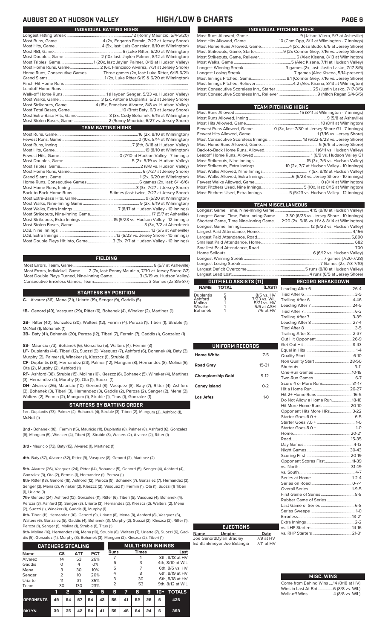| INDIVIDUAL PITCHING HIGHS |                                                                     |  |  |  |  |  |  |  |
|---------------------------|---------------------------------------------------------------------|--|--|--|--|--|--|--|
|                           |                                                                     |  |  |  |  |  |  |  |
|                           |                                                                     |  |  |  |  |  |  |  |
|                           | Most Home Runs Allowed, Game4 (2x, Jose Butto, 6/6 at Jersey Shore) |  |  |  |  |  |  |  |
|                           |                                                                     |  |  |  |  |  |  |  |
|                           |                                                                     |  |  |  |  |  |  |  |
|                           |                                                                     |  |  |  |  |  |  |  |
|                           |                                                                     |  |  |  |  |  |  |  |
|                           |                                                                     |  |  |  |  |  |  |  |
|                           |                                                                     |  |  |  |  |  |  |  |
|                           |                                                                     |  |  |  |  |  |  |  |
|                           |                                                                     |  |  |  |  |  |  |  |
|                           |                                                                     |  |  |  |  |  |  |  |

| TEAM PITCHING HIGHS                                                          |
|------------------------------------------------------------------------------|
|                                                                              |
|                                                                              |
|                                                                              |
| Fewest Runs Allowed, Game  0 (3x, last: 7/30 at Jersey Shore G1 - 7 innings) |
|                                                                              |
|                                                                              |
|                                                                              |
|                                                                              |
|                                                                              |
|                                                                              |
|                                                                              |
|                                                                              |
| Most Walks Allowed, Extra Innings 6 (6/23 vs. Jersey Shore - 10 innings)     |
|                                                                              |
|                                                                              |
| Most Pitchers Used, Extra Innings 5 (5/23 vs. Hudson Valley - 12 innings)    |
|                                                                              |

|                                                                                    | <b>TEAM MISCELLANEOUS</b>                                                                                           |
|------------------------------------------------------------------------------------|---------------------------------------------------------------------------------------------------------------------|
| Longest Game, Time, Nine-Inning Game 4:15 (8/18 at Hudson Valley)                  |                                                                                                                     |
| Longest Game, Time, Extra-Inning Game3:30 (6/23 vs. Jersey Shore - 10 innings)     |                                                                                                                     |
| Shortest Game, Time Nine-Inning Game.  2:20 (2x, 5/18 vs. HV & 8/14 at Wilmington) |                                                                                                                     |
|                                                                                    |                                                                                                                     |
|                                                                                    |                                                                                                                     |
|                                                                                    |                                                                                                                     |
|                                                                                    |                                                                                                                     |
|                                                                                    |                                                                                                                     |
|                                                                                    |                                                                                                                     |
|                                                                                    |                                                                                                                     |
|                                                                                    |                                                                                                                     |
|                                                                                    |                                                                                                                     |
|                                                                                    |                                                                                                                     |
| OUTFIELD ASSISTS (11)                                                              | $\mathcal{L}(\mathcal{L})$ and $\mathcal{L}(\mathcal{L})$ and $\mathcal{L}(\mathcal{L})$<br><b>RECORD BREAKDOWN</b> |

### **OUTFIELD ASSISTS (11) TOTAL** Leading After 6........................................26-4

| Duplantis | 5 | 8/5 vs. HV   |
|-----------|---|--------------|
| Ashford   | 3 | 7/23 vs. WIL |
| Molina    |   | 5/21 vs. HV  |
| Winaker   |   | 5/6 at ASH   |
| Bohanek   |   | 7/6 at HV    |
|           |   |              |

| UNIFORM RECORDS          |           |                               |  |
|--------------------------|-----------|-------------------------------|--|
|                          |           |                               |  |
| <b>Home White</b>        | $7 - 5$   |                               |  |
|                          |           |                               |  |
| <b>Road Gray</b>         | $15 - 31$ |                               |  |
| <b>Championship Gold</b> | $9-12$    |                               |  |
|                          |           |                               |  |
| <b>Coney Island</b>      | $0 - 2$   | Score 4 or More Runs31-17     |  |
|                          |           |                               |  |
| Los Jefes                | $1 - 0$   |                               |  |
|                          |           | Do Not Allow a Home Run 18-18 |  |
|                          |           | Hit More Home Runs 20-10      |  |
|                          |           | Opponent Hits More HRs3-22    |  |
|                          |           |                               |  |
|                          |           |                               |  |
|                          |           |                               |  |
|                          |           |                               |  |
|                          |           |                               |  |
|                          |           |                               |  |
|                          |           |                               |  |
|                          |           |                               |  |
|                          |           | Opponent Scores First 11-39   |  |
|                          |           |                               |  |
|                          |           |                               |  |
|                          |           |                               |  |
|                          |           |                               |  |
|                          |           |                               |  |
|                          |           |                               |  |
|                          |           |                               |  |
|                          |           |                               |  |
|                          |           |                               |  |
|                          |           |                               |  |

### Leading After 7.........................................24-5 Tied After 7 Trailing After 7..........................................3-39 Leading After 8 ........................................27-4 Tied After 8.................................................3-5 Trailing After 8..........................................2-37 -<br>Hit Opponent. Get Out Hit................................................8-43 Equal in Hits.................................................1-4 lity Start . Non Quality Start..................................28-50 Shutouts.......................................................3-11 One-Run Games .....................................10-18 Two-Run Games ........................................ 6-7 e 4 or More Runs. Hit a Home Run..................................... 26-27 + Home Runs . <mark>lot Allow a Home Run.................... 18-18</mark><br>10re Home Runs ................................20-10 Hit More Home Runs ...........................20-10 onent Hits More HRs. Starter Goes 6.0 +.....................................6-5 Starter Goes 7.0 + ......................................1-0  $S$ rer Goes 8.0 $+$ Home........................................................20-21 Day Games.................................................4-13 nt Games. Scoring First............................................20-19 Opponent Scores First..........................11-39 vs. South ...................................................... 4-7 es at Home Series on Road........................................ 0-7-1

Trailing After 6

Tied After 6.................................................3-5

### **EJECTIONS**

**Name Umpire Date** Joe GenordDylan Bradley 7/9 at HV Ed Blankmeyer Joe Belangia 7/11 at HV

| <b>MISC. WINS</b> |  |
|-------------------|--|

Extra Innings.

vs. RHP Starters ...

|  | Come from Behind Wins 14 (8/18 at HV) |
|--|---------------------------------------|
|  | Wins in Last At-Bat 6 (8/8 vs. WIL)   |
|  | Walk-off Wins 4 (8/8 vs. WIL)         |
|  |                                       |

Errorless....................................................13-21

vs. LHP Starters.......................................14-16

### **AUGUST 20 AT HUDSON VALLEY HIGH/LOW & CHARTS PAGE 6**

| INDIVIDUAL BATTING HIGHS                                                    |
|-----------------------------------------------------------------------------|
|                                                                             |
|                                                                             |
|                                                                             |
|                                                                             |
|                                                                             |
| Most Triples, Game1 (20x, last: Jaylen Palmer, 8/19 at Hudson Valley)       |
| Most Home Runs, Game2 (6x, Francisco Alvarez, 7/31 at Jersey Shore)         |
| Home Runs, Consecutive Games Three games (2x, last: Luke Ritter, 6/18-6/21) |
|                                                                             |
|                                                                             |
|                                                                             |
|                                                                             |
|                                                                             |
| Most Strikeouts, Game4 (15x, Francisco Alvarez, 8/8 vs. Hudson Valley)      |
|                                                                             |
| Most Extra-Base Hits, Game 3 (3x, Cody Bohanek, 6/15 at Wilmington)         |
|                                                                             |
| <b>TEAM BATTING HIGHS</b>                                                   |
|                                                                             |
|                                                                             |
|                                                                             |
|                                                                             |
|                                                                             |
|                                                                             |
|                                                                             |
|                                                                             |
|                                                                             |
|                                                                             |
|                                                                             |
|                                                                             |
|                                                                             |
|                                                                             |
|                                                                             |
|                                                                             |
|                                                                             |
|                                                                             |
|                                                                             |
|                                                                             |

Most Double Plays Hit into, Game........................3 (5x, 7/7 at Hudson Valley - 10 innings)

### **FIELDING**

Most Errors, Team, Game...............................................................................6 (5/7 at Asheville) . 2 (7x, last: Ronny Mauricio, 7/30 at Jersey Shore G2)<br>Inning Game.......................... 3 (5/19 vs. Hudson Valley) Most Double Plays Turned, Nine-Inning Game.......................... 3 (5/19 vs. Hudson Valley) Consecutive Errorless Games, Team...

### **STARTERS BY POSITION**

**C-** Alvarez (36), Mena (21), Uriarte (19), Senger (9), Gaddis (5)

**1B-** Genord (49), Vasquez (29), Ritter (6), Bohanek (4), Winaker (2), Martinez (1)

**2B-** Ritter (40), Gonzalez (30), Walters (12), Fermin (4), Peroza (1), Tiberi (1), Struble (1), McNeil (1), Bohanek (1)

**3B-** Baty (41), Bohanek (20), Peroza (12), Tiberi (7), Fermin (7), Gaddis (1), Gonzalez (1)

**SS-** Mauricio (73), Bohanek (6), Gonzalez (5), Walters (4), Fermin (3)

**LF-** Duplantis (44), Tiberi (12), Suozzi (9), Vasquez (7), Ashford (6), Bohanek (4), Baty (3), Murphy (2), Palmer (1), Winaker (1), Kleszcz (1), Struble (1)

**CF-** Duplantis (38), Hernandez (23), Palmer (12), Mangum (8), Hernandez (8), Molina (6), Ota (2), Murphy (2), Ashford (1)

**RF-** Ashford (38), Struble (15), Molina (10), Kleszcz (6), Bohanek (5), Winaker (4), Martinez (3), Hernandez (4), Murphy (3), Ota (1), Suozzi (1)

**DH-** Alvarez (26), Mauricio (10), Genord (8), Vasquez (8), Baty (7), Ritter (4), Ashford (3), Bohanek (3), Tiberi (3), Hernandez (3), Gaddis (2), Peroza (2), Senger (2), Mena (2), Walters (2), Fermin (2), Mangum (1), Struble (1), Titus (1), Gonzalez (1)

### **STARTERS BY BATTING ORDER**

**1st -** Duplantis (73), Palmer (4). Bohanek (4), Struble (3), Tiberi (2), Mangum (2), Ashford (1), McNeil (1)

**2nd -** Bohanek (18), Fermin (15), Mauricio (11), Duplantis (8), Palmer (8), Ashford (6), Gonzalez (6), Mangum (5), Winaker (4), Tiberi (3), Struble (3), Walters (2), Alvarez (2), Ritter (1)

**3rd -** Mauricio (73), Baty (15), Alvarez (1), Martinez (1)

**4th-** Baty (37), Alvarez (32), Ritter (9), Vasquez (8), Genord (2), Martinez (2)

**5th-** Alvarez (26), Vasquez (24), Ritter (14), Bohanek (5), Genord (5), Senger (4), Ashford (4), Gonzalez (3), Ota (2), Fermin (1), Hernandez (1), Peroza (1)

**6th-** Ritter (18), Genord (18), Ashford (12), Peroza (9), Bohanek (7), Gonzalez (7), Hernandez (3), Senger (3), Mena (2), Winaker (2), Kleszcz (2), Vasquez (1), Fermin (1), Ota (1), Suozzi (1) Tiberi (1), Uriarte (1)

7th- Genord (24), Ashford (12), Gonzalez (11), Ritter (6), Tiberi (5), Vasquez (4), Bohanek (4), Peroza (3), Ashford (3), Senger (3), Uriarte (3), Hernandez (2), Kleszcz (2), Walters (2), Mei (2), Suozzi (1), Winaker (1), Gaddis (1), Murphy (1)

**8th-** Tiberi (11), Hernandez (10), Genord (9), Uriarte (8), Mena (8), Ashford (8), Vasquez (6), Walters (6), Gonzalez (5), Gaddis (4), Bohanek (3), Murphy (2), Suozzi (2), Kleszcz (2), Ritter (1),

Peroza (1), Senger (1), Molina (1), Struble (1), Titus (1) **9th-** Molina (16), Hernandez (14), Mena (10), Struble (8), Walters (7), Uriarte (7), Suozzi (6), Gad-

dis (5), Gonzalez (4), Murphy (3), Bohanek (3), Mangum (2), Kleszcz (2), Tiberi (1)

| <b>CATCHERS STEALING</b> |                |    |            |            |    |      | <b>MULTI-RUN INNINGS</b> |              |    |       |                  |  |  |
|--------------------------|----------------|----|------------|------------|----|------|--------------------------|--------------|----|-------|------------------|--|--|
| <b>Name</b>              | CS             |    | <b>ATT</b> | <b>PCT</b> |    | Runs |                          | <b>Times</b> |    |       | Last             |  |  |
| Alvarez                  | 14             |    | 53         | 26%        |    |      |                          |              |    |       | 8th, 8/18 at HV  |  |  |
| Gaddis                   | O              |    | 4          | 0%         |    | 6    |                          | 3            |    |       | 4th, 8/10 at WIL |  |  |
| Mena                     | 3              |    | 30         | 10%        |    | 5    |                          |              |    |       | 6th, 8/6 vs. HV  |  |  |
| Senger                   | $\overline{2}$ |    | 10         | 20%        |    | 4    |                          | 8            |    |       | 6th, 8/19 at HV  |  |  |
| Uriarte                  | 11             |    | 31         | 35%        |    | 3    |                          | 30           |    |       | 6th, 8/18 at HV  |  |  |
| Team                     | 30             |    | 130        | 23%        |    | 2    |                          | 53           |    |       | 9th, 8/12 at WIL |  |  |
|                          |                | 2  | з          | 4          | 5  | 6    |                          | 8            | 9  | $10+$ | <b>TOTALS</b>    |  |  |
| <b>OPPONENTS</b>         | 49             | 64 | 67         | 54         | 43 | 56   | 41                       | 52           | 28 | 6     | 436              |  |  |

**BKLYN 39 35 42 54 41 59 46 64 24 6 398**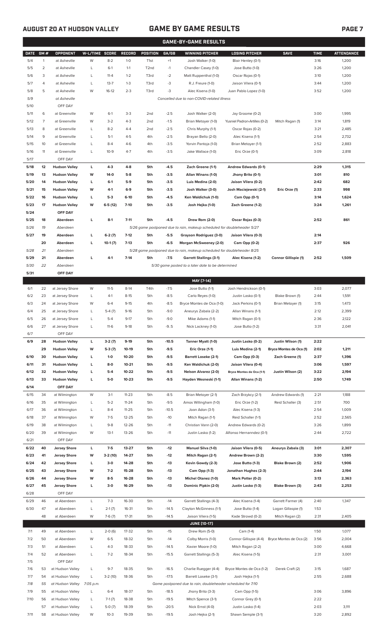## **AUGUST 20 AT HUDSON VALLEY GAME BY GAME RESULTS PAGE 7**

|             |                |                            |                |           |               |                   |         | <b>GAME-BY-GAME RESULTS</b>                                             |                               |                             |             |                   |
|-------------|----------------|----------------------------|----------------|-----------|---------------|-------------------|---------|-------------------------------------------------------------------------|-------------------------------|-----------------------------|-------------|-------------------|
| <b>DATE</b> | GM#            | OPPONENT                   | W-L/TIME SCORE |           | <b>RECORD</b> | POSITION          | GA/GB   | <b>WINNING PITCHER</b>                                                  | <b>LOSING PITCHER</b>         | <b>SAVE</b>                 | <b>TIME</b> | <b>ATTENDANCE</b> |
| 5/4         | 1              | at Asheville               | W              | $8 - 2$   | $1-0$         | T <sub>1st</sub>  | $+1$    | Josh Walker (1-0)                                                       | Blair Henley (0-1)            |                             | 3:16        | 1,200             |
| 5/5         | $\overline{2}$ | at Asheville               | L              | $6-1$     | $1 - 1$       | T <sub>2</sub> nd | $-1$    | Chandler Casey (1-0)                                                    | Jose Butto (1-0)              |                             | 3:26        | 1,200             |
| 5/6         | 3              | at Asheville               | L              | $11 - 4$  | $1 - 2$       | T3rd              | $-2$    | Matt Ruppenthal (1-0)                                                   | Oscar Rojas (0-1)             |                             | 3:10        | 1,200             |
| 5/7         | 4              | at Asheville               | L              | $13 - 7$  | $1 - 3$       | T3rd              | -3      | R.J. Freure (1-0)                                                       | Jaison Vilera (0-1)           |                             | 3:44        | 1,200             |
| 5/8         | 5              | at Asheville               | W              | $16-12$   | $2 - 3$       | T3rd              | -3      | Alec Kisena (1-0)                                                       | Juan Pablo Lopez (1-0)        |                             | 3:52        | 1,200             |
| 5/9         |                | at Asheville               |                |           |               |                   |         | Cancelled due to non-COVID-related illness                              |                               |                             |             |                   |
| 5/10        |                | OFF DAY                    |                |           |               |                   |         |                                                                         |                               |                             |             |                   |
| 5/11        | 6              | at Greenville              | W              | $6-1$     | $3-3$         | 2 <sub>nd</sub>   | $-2.5$  | Josh Walker (2-0)                                                       | Jay Groome (0-2)              |                             | 3:00        | 1,995             |
| 5/12        | 7              | at Greenville              | W              | $3 - 2$   | $4 - 3$       | 2nd               | $-1.5$  | Brian Metoyer (1-0)                                                     | Yusniel Padron-Artilles (0-2) | Mitch Ragan (1)             | 3:14        | 1,819             |
| 5/13        | 8              | at Greenville              | L              | $8 - 2$   | $4 - 4$       | 2 <sub>nd</sub>   | $-2.5$  | Chris Murphy (1-1)                                                      | Oscar Rojas (0-2)             |                             | 3:21        | 2,485             |
| 5/14        | 9              | at Greenville              | L              | $5-1$     | $4 - 5$       | 4th               | $-2.5$  | Brayan Bello (2-0)                                                      | Alec Kisena (1-1)             |                             | 2:54        | 2,732             |
| 5/15        | 10             | at Greenville              | L              | $8 - 4$   | $4-6$         | 4th               | $-3.5$  | Yorvin Pantoja (1-0)                                                    | Brian Metoyer (1-1)           |                             | 2:52        | 2,883             |
| 5/16        | 11             | at Greenville              | L              | $10-9$    | $4 - 7$       | 4th               | $-3.5$  | Jake Wallace (1-0)                                                      | Eric Orze (0-1)               |                             | 3:09        | 2,818             |
| 5/17        |                | OFF DAY                    |                |           |               |                   |         |                                                                         |                               |                             |             |                   |
| 5/18        | 12             | <b>Hudson Valley</b>       | L              | $4 - 3$   | 4-8           | 5th               | $-4.5$  | Zach Greene (1-1)                                                       | Andrew Edwards (0-1)          |                             | 2:29        | 1,315             |
| 5/19        | 13             | <b>Hudson Valley</b>       | W              | 14-0      | $5-8$         | 5th               | $-3.5$  | Allan Winans (1-0)                                                      | Jhony Brito (0-1)             |                             | 3:01        | 810               |
| 5/20        | 14             | <b>Hudson Valley</b>       | L              | $6-1$     | $5-9$         | 5th               | $-3.5$  | Luis Medina (2-0)                                                       | Jaison Vilera (0-2)           |                             | 2:42        | 682               |
| 5/21        | 15             | <b>Hudson Valley</b>       | W              | $4-1$     | $6-9$         | 5th               | $-3.5$  | Josh Walker (3-0)                                                       | Josh Maciejewski (2-1)        | Eric Orze (1)               | 2:33        | 998               |
| 5/22        | 16             | <b>Hudson Valley</b>       | L              | $5-3$     | $6-10$        | 5th               | $-4.5$  | Ken Waldichuk (1-0)                                                     | Cam Opp (0-1)                 |                             | 3:14        | 1,624             |
| 5/23        | 17             | <b>Hudson Valley</b>       | W              | $6-5(12)$ | $7-10$        | 5th               | $-3.5$  | Josh Hejka (1-0)                                                        | Zach Greene (1-2)             |                             | 3:24        | 1,261             |
| 5/24        |                | OFF DAY                    |                |           |               |                   |         |                                                                         |                               |                             |             |                   |
| 5/25        | 18             | Aberdeen                   | L              | $8-1$     | $7 - 11$      | 5th               | $-4.5$  | Drew Rom (2-0)                                                          | Oscar Rojas (0-3)             |                             | 2:52        | 861               |
| 5/26        | 19             | Aberdeen                   |                |           |               |                   |         | 5/26 game postponed due to rain, makeup scheduled for doubleheader 5/27 |                               |                             |             |                   |
| 5/27        | 19             | Aberdeen                   | L              | $6-2(7)$  | $7-12$        | 5th               | $-5.5$  | Grayson Rodriguez (3-0)                                                 | Jaison Vilera (0-3)           |                             | 2:14        |                   |
|             | 20             | Aberdeen                   | L              | $10-1(7)$ | $7-13$        | 5th               | $-6.5$  | Morgan McSweeney (2-0)                                                  | Cam Opp (0-2)                 |                             | 2:37        | 926               |
| 5/28        | 21             | Aberdeen                   |                |           |               |                   |         | 5/28 game postponed due to rain, makeup scheduled for doubleheader 8/25 |                               |                             |             |                   |
| 5/29        | 21             | Aberdeen                   | г              | $4-1$     | $7-14$        | 5th               | $-7.5$  | <b>Garrett Stallings (3-1)</b>                                          | Alec Kisena (1-2)             | <b>Connor Gillispie (1)</b> | 2:52        | 1,509             |
| 5/30        | 22             | Aberdeen                   |                |           |               |                   |         | 5/30 game posted to a later date to be determined                       |                               |                             |             |                   |
| 5/31        |                | OFF DAY                    |                |           |               |                   |         |                                                                         |                               |                             |             |                   |
|             |                |                            |                |           |               |                   |         | MAY [7-14]                                                              |                               |                             |             |                   |
| 6/1         | 22             | at Jersey Shore            | W              | $11 - 5$  | $8-14$        | T4th              | $-7.5$  | Jose Butto (1-1)                                                        | Josh Hendrickson (0-1)        |                             | 3:03        | 2,077             |
| 6/2         | 23             | at Jersey Shore            | L              | $4-1$     | $8-15$        | 5th               | $-8.5$  | Carlo Reyes (1-0)                                                       | Justin Lasko (0-1)            | Blake Brown (1)             | 2:44        | 1,591             |
| 6/3         | 24             | at Jersey Shore            | W              | $6 - 4$   | $9-15$        | 4th               | $-8.5$  | Bryce Montes de Oca (1-0)                                               | Jack Perkins (0-1)            | Brian Metoyer (1)           | 3:15        | 1,473             |
| 6/4         | 25             | at Jersey Shore            | L              | $5-4(7)$  | $9-16$        | 5th               | $-9.0$  | Aneurys Zabala (2-2)                                                    | Allan Winans (1-1)            |                             | 2:12        | 2,399             |
| 6/5         | 26             | at Jersey Shore            | L              | $5 - 4$   | $9 - 17$      | 5th               | $-9.0$  | Mike Adams (1-1)                                                        | Mitch Ragan (0-1)             |                             | 2:36        | 2,122             |
| 6/6         | 27             | at Jersey Shore            | L              | $11-6$    | $9-18$        | 5th               | $-9.5$  | Nick Lackney (1-0)                                                      | Jose Butto (1-2)              |                             | 3:31        | 2,041             |
| 6/7         |                | OFF DAY                    |                |           |               |                   |         |                                                                         |                               |                             |             |                   |
| 6/9         | 28             | <b>Hudson Valley</b>       | L              | $3-2(7)$  | $9-19$        | 5th               | $-10.5$ | Tanner Myatt (1-0)                                                      | Justin Lasko (0-2)            | Justin Wilson (1)           | 2:22        |                   |
|             | 29             | <b>Hudson Valley</b>       | W              | $5-3(7)$  | 10-19         | 5th               | $-9.5$  | Eric Orze (1-1)                                                         | Luis Medina (2-1)             | Bryce Montes de Oca (1)     | 2:02        | 1,211             |
| 6/10        | 30             | <b>Hudson Valley</b>       | L              | $1-0$     | 10-20         | 5th               | $-9.5$  | <b>Barrett Loseke (2-1)</b>                                             | Cam Opp (0-3)                 | Zach Greene (1)             | 2:37        | 1,396             |
| 6/11        | 31             | <b>Hudson Valley</b>       | L              | 8-0       | $10 - 21$     | 5th               | $-9.5$  | Ken Waldichuk (2-0)                                                     | Jaison Vilera (0-4)           |                             | 3:06        | 1,597             |
| 6/12        | 32             | <b>Hudson Valley</b>       | L              | $5-4$     | 10-22         | 5th               | $-9.5$  | Nelson Alvarez (2-0)                                                    | Bryce Montes de Oca (1-1)     | Justin Wilson (2)           | 3:22        | 2,194             |
| 6/13        | 33             | <b>Hudson Valley</b>       | г              | $5-0$     | $10 - 23$     | 5th               | $-9.5$  | Hayden Wesneski (1-1)                                                   | Allan Winans (1-2)            |                             | 2:50        | 1,749             |
| 6/14        |                | OFF DAY                    |                |           |               |                   |         |                                                                         |                               |                             |             |                   |
| 6/15        | 34             | at Wilmington              | W              | $3-1$     | $11 - 23$     | 5th               | $-8.5$  | Brian Metoyer (2-1)                                                     | Zach Brzykcy (2-1)            | Andrew Edwards (1)          | 2:21        | 1,188             |
| 6/16        | 35             | at Wilmington              | L              | $5 - 2$   | $11 - 24$     | 5th               | $-9.5$  | Amos Willingham (1-0)                                                   | Eric Orze (1-2)               | Reid Schaller (3)           | 2:51        | 700               |
| 6/17        | 36             | at Wilmington              | L              | $8 - 4$   | $11 - 25$     | 5th               | $-10.5$ | Joan Adon (3-1)                                                         | Alec Kisena (1-3)             |                             | 2:54        | 1,009             |
| 6/18        | 37             | at Wilmington              | W              | $7-5$     | $12 - 25$     | 5th               | $-10$   | Mitch Ragan (1-1)                                                       | Reid Schaller (1-1)           |                             | 2:52        | 2,565             |
| 6/19        | 38             | at Wilmington              | L              | $9 - 8$   | 12-26         | 5th               | $-11$   | Christian Vann (2-0)                                                    | Andrew Edwards (0-2)          |                             | 3:26        | 1,899             |
| 6/20        | 39             | at Wilmington              | W              | $13-1$    | 13-26         | 5th               | $-11$   | Justin Lasko (1-2)                                                      | Alfonso Hernanndez (0-1)      |                             | 2:44        | 2,722             |
| 6/21        |                | OFF DAY                    |                |           |               |                   |         |                                                                         |                               |                             |             |                   |
| 6/22        | 40             | <b>Jersey Shore</b>        | L              | $7-5$     | 13-27         | 5th               | -12     | Manuel Silva (1-0)                                                      | Jaison Vilera (0-5)           | Aneurys Zabala (3)          | 3:01        | 2,307             |
| 6/23        | 41             | <b>Jersey Shore</b>        | W              | $3-2(10)$ | 14-27         | 5th               | -12     | Mitch Ragan (2-1)                                                       | Andrew Brown (2-2)            |                             | 3:30        | 1,595             |
| 6/24        | 42             | <b>Jersey Shore</b>        | L              | $3-0$     | 14-28         | 5th               | $-13$   | Kevin Gowdy (2-3)                                                       | Jose Butto (1-3)              | Blake Brown (2)             | 2:52        | 1,906             |
| 6/25        | 43             | <b>Jersey Shore</b>        | W              | $7 - 2$   | 15-28         | 5th               | $-13$   | Cam Opp (1-3)                                                           | Jonathan Hughes (2-3)         |                             | 2:44        | 2,194             |
| 6/26        | 44             | <b>Jersey Shore</b>        | W              | $8-5$     | 16-28         | 5th               | $-13$   | Michel Otanez (1-0)                                                     | Mark Potter (0-2)             |                             | 3:13        | 2,363             |
| 6/27        | 45             | <b>Jersey Shore</b>        | г              | $3-0$     | 16-29         | 5th               | $-13$   | Dominic Pipkin (2-0)                                                    | Justin Lasko (1-3)            | Blake Brown (3)             | 2:43        | 2,253             |
| 6/28        |                | OFF DAY                    |                |           |               |                   |         |                                                                         |                               |                             |             |                   |
| 6/29        | 46             | at Aberdeen                | L              | $7-3$     | 16-30         | 5th               | $-14$   | Garrett Stallings (4-3)                                                 | Alec Kisena (1-4)             | Garrett Farmer (4)          | 2:40        | 1,347             |
| 6/30        | 47             | at Aberdeen                | L              | $2-1(7)$  | $16 - 31$     | 5th               | $-14.5$ | Clayton McGinness (1-1)                                                 | Jose Butto (1-4)              | Logan Gillaspie (1)         | 1:53        |                   |
|             | 48             | at Aberdeen                | W              | $7-6(7)$  | 17-31         | 5th               | $-14.5$ | Jaison Vilera (1-5)                                                     | Kade Strowd (0-2)             | Mitch Ragan (2)             | 2:31        | 2,405             |
|             |                |                            |                |           |               |                   |         | <b>JUNE (10-17)</b>                                                     |                               |                             |             |                   |
| 7/1         | 49             | at Aberdeen                | L              | $2-0(6)$  | 17-32         | 5th               | $-15$   | Drew Rom (5-0)                                                          | Cam (1-4)                     |                             | 1:50        | 1,077             |
| 7/2         | 50             | at Aberdeen                | W              | $6 - 5$   | 18-32         | 5th               | $-14$   | Colby Morris (1-0)                                                      | Connor Gillispie (4-4)        | Bryce Montes de Oca (2)     | 3:56        | 2,004             |
| 7/3         | 51             | at Aberdeen                | L              | $4 - 3$   | 18-33         | 5th               | $-14.5$ | Xavier Moore (1-0)                                                      | Mitch Ragan (2-2)             |                             | 3:00        | 4,668             |
| 7/4         | 52             | at Aberdeen                | L              | $7 - 2$   | 18-34         | 5th               | $-15.5$ | Garrett Stallings (5-3)                                                 | Alec Kisena (1-5)             |                             | 2:31        | 3,001             |
| 7/5         |                | OFF DAY                    |                |           |               |                   |         |                                                                         |                               |                             |             |                   |
| 7/6         | 53             | at Hudson Valley           | L              | $9 - 7$   | 18-35         | 5th               | $-16.5$ | Charlie Ruegger (4-4)                                                   | Bryce Montes de Oca (1-2)     | Derek Craft (2)             | 3:15        | 1,687             |
| 7/7         | 54             | at Hudson Valley           | L              | $3-2(10)$ | 18-36         | 5th               | $-17.5$ | Barrett Loseke (3-1)                                                    | Josh Hejka (1-1)              |                             | 2:55        | 2,688             |
| 7/8         | 55             | at Hudson Valley 7:05 p.m. |                |           |               |                   |         | Game postponed due to rain, doubleheader scheduled for 7/10             |                               |                             |             |                   |
| 7/9         | 55             | at Hudson Valley           | L              | $6 - 4$   | 18-37         | 5th               | $-18.5$ | Jhony Brito (3-3)                                                       | Cam Opp (1-5)                 |                             | 3:06        | 3,896             |
| 7/10        | 56             | at Hudson Valley           | L              | $7-1(7)$  | 18-38         | 5th               | $-19.5$ | Mitch Spence (3-1)                                                      | Connor Grey (0-1)             |                             | 2:22        |                   |
|             | 57             | at Hudson Valley           | L              | $5-0(7)$  | 18-39         | 5th               | $-20.5$ | Nick Ernst (4-0)                                                        | Justin Lasko (1-4)            |                             | 2:03        | 3,111             |

7/11 58 at Hudson Valley W 10-3 19-39 5th -19.5 Josh Hejka (2-1) Shawn Semple (3-1) 3:20 2,892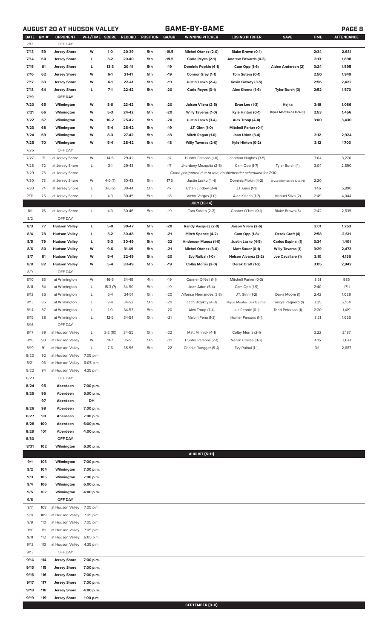# **AUGUST 20 AT HUDSON VALLEY GAME-BY-GAME PAGE 8**

|--|

| <b>DATE</b> | GM# | <b>OPPONENT</b>      | W-L/TIME SCORE |           | RECORD | POSITION | GA/GB   | <b>WINNING PITCHER</b>                                      | <b>LOSING PITCHER</b>        | <b>SAVE</b>              | <b>TIME</b> | <b>ATTENDANCE</b> |
|-------------|-----|----------------------|----------------|-----------|--------|----------|---------|-------------------------------------------------------------|------------------------------|--------------------------|-------------|-------------------|
| 7/12        |     | OFF DAY              |                |           |        |          |         |                                                             |                              |                          |             |                   |
| 7/13        | 59  | <b>Jersey Shore</b>  | W              | $1 - 0$   | 20-39  | 5th      | $-19.5$ | Michel Otanez (2-0)                                         | Blake Brown (0-1)            |                          | 2:34        | 2,681             |
| 7/14        | 60  | <b>Jersey Shore</b>  | L              | $3-2$     | 20-40  | 5th      | $-19.5$ | Carlo Reyes (2-1)                                           | Andrew Edwards (0-3)         |                          | 3:13        | 1,898             |
| 7/15        | 61  | <b>Jersey Shore</b>  | L              | $13-3$    | 20-41  | 5th      | $-19$   | Dominic Popkin (4-1)                                        | Cam Opp (1-6)                | Aiden Anderson (2)       | 3:24        | 1,595             |
| 7/16        | 62  | <b>Jersey Shore</b>  | W              | $6-1$     | 21-41  | 5th      | $-19$   | Connor Grey (1-1)                                           | Tom Sutera (0-1)             |                          | 2:50        | 1,949             |
| 7/17        | 63  | <b>Jersey Shore</b>  | W              | $6-1$     | 22-41  | 5th      | $-19$   | Justin Lasko (2-4)                                          | Kevin Gowdy (3-5)            |                          | 2:56        | 2,422             |
| 7/18        | 64  | <b>Jersey Shore</b>  | L              | $7-1$     | 22-42  | 5th      | $-20$   | Carlo Reyes (3-1)                                           | Alec Kisena (1-6)            | Tyler Burch (3)          | 2:52        | 1,570             |
| 7/19        |     | OFF DAY              |                |           |        |          |         |                                                             |                              |                          |             |                   |
| 7/20        | 65  | Wilmington           | W              | $8-6$     | 23-42  | 5th      | $-20$   | Jaison Vilera (2-5)                                         | Evan Lee (1-3)               | Hejka                    | 3:18        | 1,086             |
| 7/21        | 66  | Wilmington           | W              | $5-3$     | 24-42  | 5th      | $-20$   | Willy Taveras (1-0)                                         | Kyle Hinton (0-1)            | Bryce Montes de Oca (3)  | 2:53        | 1,456             |
| 7/22        | 67  | Wilmington           | W              | $10-2$    | 25-42  | 5th      | $-20$   | Justin Lasko (3-4)                                          | Alex Troop (4-4)             |                          | 3:00        | 3,430             |
| 7/23        | 68  | Wilmington           | W              | $5-4$     | 26-42  | 5th      | $-19$   | J.T. Ginn (1-0)                                             | <b>Mitchell Parker (0-1)</b> |                          |             |                   |
| 7/24        | 69  | Wilmington           | W              | $8-3$     | 27-42  | 5th      | $-18$   | Mitch Ragan (1-0)                                           | Joan Udon (3-4)              |                          | 3:12        | 2,924             |
| 7/25        | 70  |                      | W              | $5-4$     | 28-42  | 5th      | -18     | <b>Willy Taveras (2-0)</b>                                  | Kyle Hinton (0-2)            |                          | 3:12        | 1,703             |
|             |     | Wilmington           |                |           |        |          |         |                                                             |                              |                          |             |                   |
| 7/26        |     | OFF DAY              |                |           |        |          |         |                                                             |                              |                          |             |                   |
| 7/27        | 71  | at Jersey Shore      | W              | $14 - 5$  | 29-42  | 5th      | $-17$   | Hunter Parsons (1-0)                                        | Jonathan Hughes (3-5)        |                          | 3:04        | 3,270             |
| 7/28        | 72  | at Jersey Shore      | L              | $3-1$     | 29-43  | 5th      | $-17$   | Jhordany Mezquita (2-5)                                     | Cam Opp (1-7)                | Tyler Burch (4)          | 3:04        | 2,590             |
| 7/29        | 73  | at Jersey Shore      |                |           |        |          |         | Game postponed due to rain, doubleheader scheduled for 7/30 |                              |                          |             |                   |
| 7/30        | 73  | at Jersey Shore      | W              | $4-0(7)$  | 30-43  | 5th      | $-17.5$ | Justin Lasko (4-4)                                          | Dominic Pipkin (4-2)         | Bryce Montes de Oca (4)  | 2:20        |                   |
| 7/30        | 74  | at Jersey Shore      | L              | $3-0(7)$  | 30-44  | 5th      | $-17$   | Ethan Lindow (3-4)                                          | J.T. Ginn (1-1)              |                          | 1:46        | 5,890             |
| 7/31        | 75  | at Jersey Shore      | L              | $4 - 3$   | 30-45  | 5th      | $-18$   | Victor Vargas (1-0)                                         | Alec Kisena (1-7)            | Manuel Silva (2)         | 2:49        | 4,044             |
|             |     |                      |                |           |        |          |         | <b>JULY</b> [13-14]                                         |                              |                          |             |                   |
| 8/1         | 76  | at Jersey Shore      | L              | $4 - 3$   | 30-46  | 5th      | $-19$   | Tom Sutera (2-2)                                            | Conner O'Neil (0-1)          | Blake Brown (5)          | 2:42        | 2,535             |
| 8/2         |     | OFF DAY              |                |           |        |          |         |                                                             |                              |                          |             |                   |
| 8/3         | 77  | <b>Hudson Valley</b> | г              | 5-0       | 30-47  | 5th      | $-20$   | Randy Vasquez (2-0)                                         | Jaison Vilera (2-6)          |                          | 3:01        | 1,253             |
| 8/4         | 78  | <b>Hudson Valley</b> | L              | $3-2$     | 30-48  | 5th      | $-21$   | Mitch Spence (4-2)                                          | Cam Opp (1-8)                | Derek Craft (4)          | 2:58        | 2,611             |
| 8/5         | 79  | <b>Hudson Valley</b> | г              | $5-3$     | 30-49  | 5th      | $-22$   | Anderson Munoz (1-0)                                        | Justin Lasko (4-5)           | Carlos Espinal (1)       | 3:34        | 1,401             |
| 8/6         | 80  | <b>Hudson Valley</b> | W              | $9-6$     | 31-49  | 5th      | $-21$   | Michel Otanez (3-0)                                         | Matt Sauer (0-1)             | <b>Willy Taveras (1)</b> | 3:29        | 2,473             |
| 8/7         | 81  | <b>Hudson Valley</b> | W              | $5 - 4$   | 32-49  | 5th      | $-20$   | Evy Ruibal (1-0)                                            | <b>Nelson Alvarez (3-2)</b>  | Joe Cavallaro (1)        | 3:10        | 4,156             |
| 8/8         | 82  | <b>Hudson Valley</b> | W              | $5-4$     | 33-49  | 5th      | $-19$   | Colby Morris (2-0)                                          | Derek Craft (1-2)            |                          | 3:05        | 2,942             |
| 8/9         |     | OFF DAY              |                |           |        |          |         |                                                             |                              |                          |             |                   |
| 8/10        | 83  | at Wilmington        | W              | $16 - 5$  | 34-49  | 4th      | $-19$   | Conner O'Neil (1-1)                                         | Mitchell Parker (0-3)        |                          | 3:51        | 985               |
| 8/11        | 84  | at Wilmington        | L              | $15-3(7)$ | 34-50  | 5th      | $-19$   | Joan Adon (5-4)                                             | Cam Opp (1-9)                |                          | 2:40        | 1,711             |
| 8/12        | 85  | at Wilmington        | L              | $5 - 4$   | 34-51  | 5th      | $-20$   | Alfonso Hernandez (3-3)                                     | J.T. Ginn (1-2)              | Davis Moore (1)          | 2:42        | 1,029             |
| 8/13        | 86  | at Wilmington        | L              | $7 - 4$   | 34-52  | 5th      | $-20$   | Zach Brzykcy (4-3)                                          | Bryce Montes de Oca (1-3)    | Francys Peguero (1)      | 3:25        | 2,164             |
| 8/14        | 87  | at Wilmington        | L              | $1-0$     | 34-53  | 5th      | $-20$   | Alex Troop (7-4)                                            | Luc Rennie (0-1)             | Todd Peterson (1)        | 2:20        | 1,419             |
| 8/15        | 88  | at Wilmington        | L              | $12 - 5$  | 34-54  | 5th      | $-21$   | Malvin Pena (1-3)                                           | Hunter Parsons (1-1)         |                          | 3:21        | 1,666             |
| 8/16        |     | OFF DAY              |                |           |        |          |         |                                                             |                              |                          |             |                   |
| 8/17        | 89  | at Hudson Valley     | L              | $3-2(10)$ | 34-55  | 5th      | $-22$   | Matt Minnick (4-1)                                          | Colby Morris (2-1)           |                          | 3:22        | 2,187             |
| 8/18        | 90  | at Hudson Valley     | W              | $11 - 7$  | 35-55  | 5th      | $-21$   | Hunter Parsons (2-1)                                        | Nelvin Correa (0-2)          |                          | 4:15        | 3,041             |
| 8/19        | 91  | at Hudson Valley     | L              | $7-6$     | 35-56  | 5th      | $-22$   | Charlie Ruegger (5-4)                                       | Evy Ruibal (1-1)             |                          | 3:11        | 2,687             |
| 8/20        | 92  | at Hudson Valley     | 7:05 p.m.      |           |        |          |         |                                                             |                              |                          |             |                   |
| 8/21        | 93  | at Hudson Valley     | 6:05 p.m.      |           |        |          |         |                                                             |                              |                          |             |                   |
|             |     |                      |                |           |        |          |         |                                                             |                              |                          |             |                   |
| 8/22        | 94  | at Hudson Valley     | 4:35 p.m.      |           |        |          |         |                                                             |                              |                          |             |                   |
| 8/23        |     | OFF DAY              |                |           |        |          |         |                                                             |                              |                          |             |                   |
| 8/24        | 95  | Aberdeen             | 7:00 p.m.      |           |        |          |         |                                                             |                              |                          |             |                   |
| 8/25        | 96  | Aberdeen             | 5:30 p.m.      |           |        |          |         |                                                             |                              |                          |             |                   |
|             | 97  | Aberdeen             | DH             |           |        |          |         |                                                             |                              |                          |             |                   |
| 8/26        | 98  | Aberdeen             | 7:00 p.m.      |           |        |          |         |                                                             |                              |                          |             |                   |
| 8/27        | 99  | Aberdeen             | 7:00 p.m.      |           |        |          |         |                                                             |                              |                          |             |                   |
| 8/28        | 100 | Aberdeen             | 6:00 p.m.      |           |        |          |         |                                                             |                              |                          |             |                   |
| 8/29        | 101 | Aberdeen             | 4:00 p.m.      |           |        |          |         |                                                             |                              |                          |             |                   |
| 8/30        |     | OFF DAY              |                |           |        |          |         |                                                             |                              |                          |             |                   |
| 8/31        | 102 | Wilmington           | 6:30 p.m.      |           |        |          |         |                                                             |                              |                          |             |                   |
|             |     |                      |                |           |        |          |         | <b>AUGUST [5-11]</b>                                        |                              |                          |             |                   |
| 9/1         | 103 | Wilmington           | 7:00 p.m.      |           |        |          |         |                                                             |                              |                          |             |                   |
| 9/2         | 104 | Wilmington           | 7:00 p.m.      |           |        |          |         |                                                             |                              |                          |             |                   |
| 9/3         | 105 | Wilmington           | 7:00 p.m.      |           |        |          |         |                                                             |                              |                          |             |                   |
| 9/4         | 106 | Wilmington           | 6:00 p.m.      |           |        |          |         |                                                             |                              |                          |             |                   |
| 9/5         | 107 | Wilmington           | 4:00 p.m.      |           |        |          |         |                                                             |                              |                          |             |                   |
| 9/6         |     | OFF DAY              |                |           |        |          |         |                                                             |                              |                          |             |                   |
| 9/7         | 108 | at Hudson Valley     | 7:05 p.m.      |           |        |          |         |                                                             |                              |                          |             |                   |
| 9/8         | 109 | at Hudson Valley     | 7:05 p.m.      |           |        |          |         |                                                             |                              |                          |             |                   |
| 9/9         | 110 | at Hudson Valley     | 7:05 p.m.      |           |        |          |         |                                                             |                              |                          |             |                   |
| 9/10        | 111 | at Hudson Valley     | 7:05 p.m.      |           |        |          |         |                                                             |                              |                          |             |                   |
| 9/11        | 112 | at Hudson Valley     | 6:05 p.m.      |           |        |          |         |                                                             |                              |                          |             |                   |
| 9/12        | 113 | at Hudson Valley     | 4:35 p.m.      |           |        |          |         |                                                             |                              |                          |             |                   |
| 9/13        |     | OFF DAY              |                |           |        |          |         |                                                             |                              |                          |             |                   |
| 9/14        | 114 | <b>Jersey Shore</b>  | 7:00 p.m.      |           |        |          |         |                                                             |                              |                          |             |                   |
| 9/15        | 115 | <b>Jersey Shore</b>  | 7:00 p.m.      |           |        |          |         |                                                             |                              |                          |             |                   |
| 9/16        | 116 | <b>Jersey Shore</b>  | 7:00 p.m.      |           |        |          |         |                                                             |                              |                          |             |                   |
| 9/17        | 117 | <b>Jersey Shore</b>  | 7:00 p.m.      |           |        |          |         |                                                             |                              |                          |             |                   |
| 9/18        | 118 | <b>Jersey Shore</b>  | 4:00 p.m.      |           |        |          |         |                                                             |                              |                          |             |                   |
| 9/19        | 119 | <b>Jersey Shore</b>  | 1:00 p.m.      |           |        |          |         |                                                             |                              |                          |             |                   |
|             |     |                      |                |           |        |          |         | <b>SEPTEMBER [0-0]</b>                                      |                              |                          |             |                   |